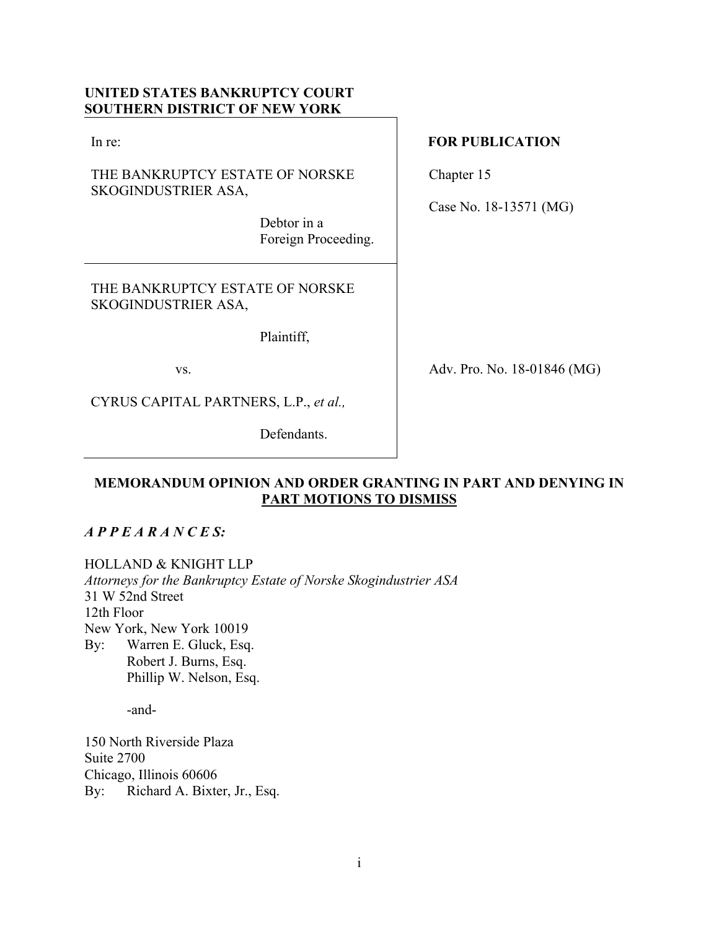# **UNITED STATES BANKRUPTCY COURT SOUTHERN DISTRICT OF NEW YORK**

In re:

THE BANKRUPTCY ESTATE OF NORSKE SKOGINDUSTRIER ASA,

> Debtor in a Foreign Proceeding.

THE BANKRUPTCY ESTATE OF NORSKE SKOGINDUSTRIER ASA,

Plaintiff,

vs.

CYRUS CAPITAL PARTNERS, L.P., *et al.,* 

Defendants.

# **FOR PUBLICATION**

Chapter 15

Case No. 18-13571 (MG)

Adv. Pro. No. 18-01846 (MG)

# **MEMORANDUM OPINION AND ORDER GRANTING IN PART AND DENYING IN PART MOTIONS TO DISMISS**

# *A P P E A R A N C E S:*

HOLLAND & KNIGHT LLP

*Attorneys for the Bankruptcy Estate of Norske Skogindustrier ASA* 31 W 52nd Street 12th Floor New York, New York 10019 By: Warren E. Gluck, Esq. Robert J. Burns, Esq. Phillip W. Nelson, Esq.

-and-

150 North Riverside Plaza Suite 2700 Chicago, Illinois 60606 By: Richard A. Bixter, Jr., Esq.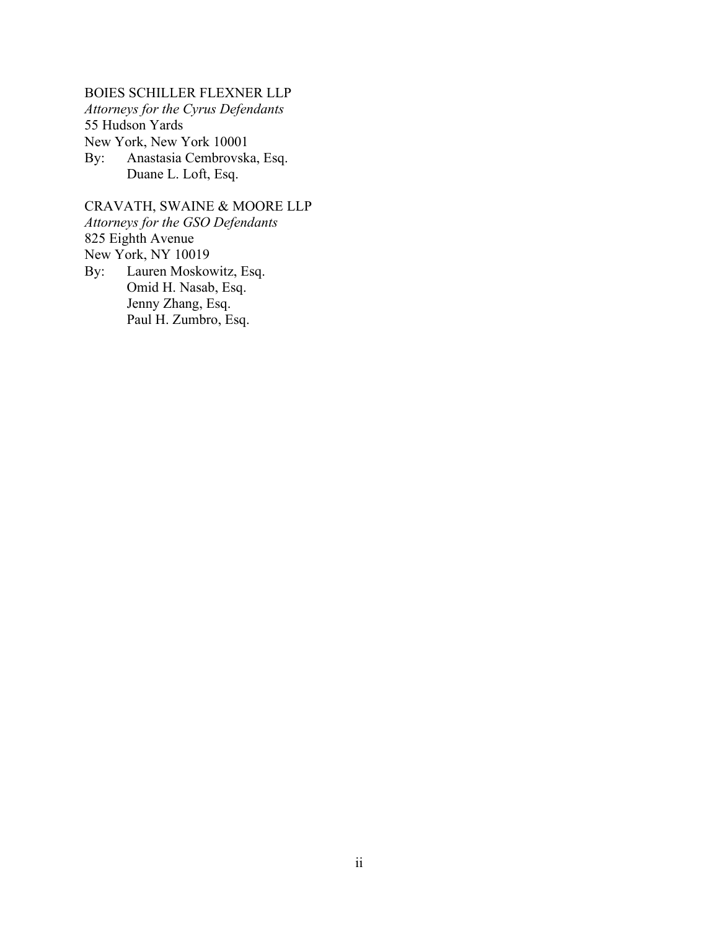BOIES SCHILLER FLEXNER LLP *Attorneys for the Cyrus Defendants*  55 Hudson Yards New York, New York 10001 By: Anastasia Cembrovska, Esq. Duane L. Loft, Esq.

CRAVATH, SWAINE & MOORE LLP *Attorneys for the GSO Defendants* 825 Eighth Avenue New York, NY 10019 By: Lauren Moskowitz, Esq. Omid H. Nasab, Esq. Jenny Zhang, Esq.

Paul H. Zumbro, Esq.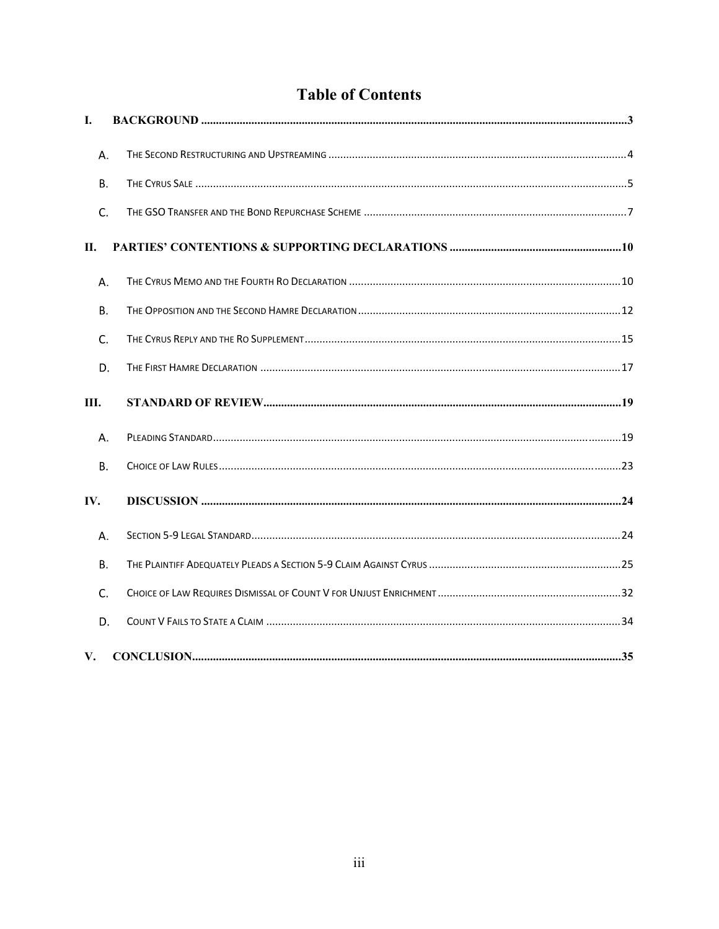# **Table of Contents**

| I.      |  |
|---------|--|
| Α.      |  |
| В.      |  |
| $C_{r}$ |  |
| П.      |  |
| Α.      |  |
| В.      |  |
| C.      |  |
| D.      |  |
| III.    |  |
| А.      |  |
| В.      |  |
| IV.     |  |
| Α.      |  |
| В.      |  |
|         |  |
| C.      |  |
| D.      |  |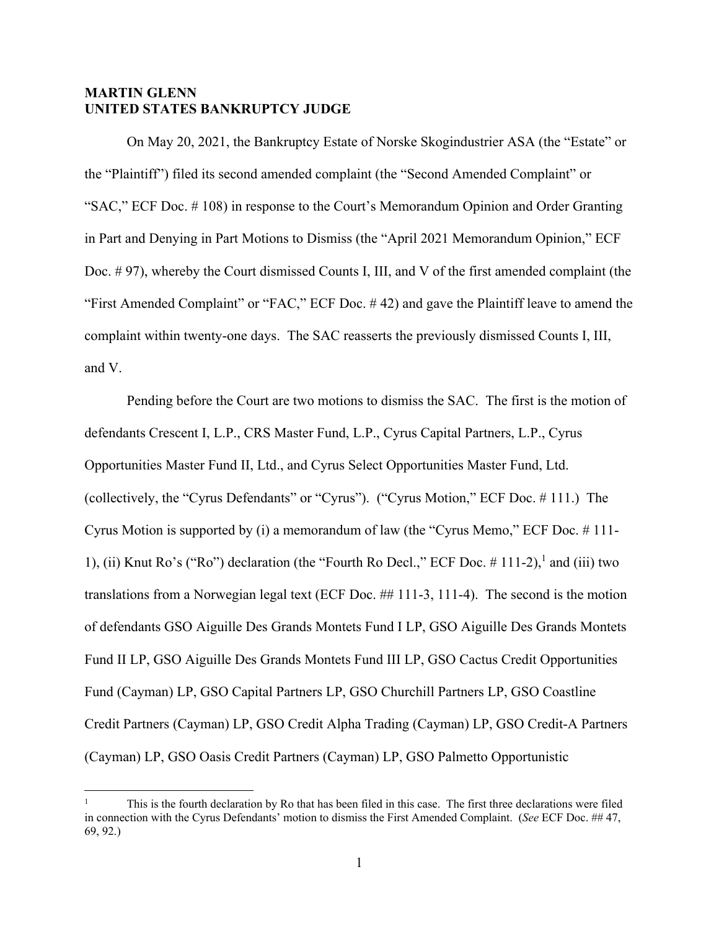# **MARTIN GLENN UNITED STATES BANKRUPTCY JUDGE**

On May 20, 2021, the Bankruptcy Estate of Norske Skogindustrier ASA (the "Estate" or the "Plaintiff") filed its second amended complaint (the "Second Amended Complaint" or "SAC," ECF Doc. # 108) in response to the Court's Memorandum Opinion and Order Granting in Part and Denying in Part Motions to Dismiss (the "April 2021 Memorandum Opinion," ECF Doc. # 97), whereby the Court dismissed Counts I, III, and V of the first amended complaint (the "First Amended Complaint" or "FAC," ECF Doc. # 42) and gave the Plaintiff leave to amend the complaint within twenty-one days. The SAC reasserts the previously dismissed Counts I, III, and V.

Pending before the Court are two motions to dismiss the SAC. The first is the motion of defendants Crescent I, L.P., CRS Master Fund, L.P., Cyrus Capital Partners, L.P., Cyrus Opportunities Master Fund II, Ltd., and Cyrus Select Opportunities Master Fund, Ltd. (collectively, the "Cyrus Defendants" or "Cyrus"). ("Cyrus Motion," ECF Doc. # 111.) The Cyrus Motion is supported by (i) a memorandum of law (the "Cyrus Memo," ECF Doc. # 111- 1), (ii) Knut Ro's ("Ro") declaration (the "Fourth Ro Decl.," ECF Doc.  $\#$  111-2), and (iii) two translations from a Norwegian legal text (ECF Doc. ## 111-3, 111-4). The second is the motion of defendants GSO Aiguille Des Grands Montets Fund I LP, GSO Aiguille Des Grands Montets Fund II LP, GSO Aiguille Des Grands Montets Fund III LP, GSO Cactus Credit Opportunities Fund (Cayman) LP, GSO Capital Partners LP, GSO Churchill Partners LP, GSO Coastline Credit Partners (Cayman) LP, GSO Credit Alpha Trading (Cayman) LP, GSO Credit-A Partners (Cayman) LP, GSO Oasis Credit Partners (Cayman) LP, GSO Palmetto Opportunistic

<sup>1</sup> This is the fourth declaration by Ro that has been filed in this case. The first three declarations were filed in connection with the Cyrus Defendants' motion to dismiss the First Amended Complaint. (*See* ECF Doc. ## 47, 69, 92.)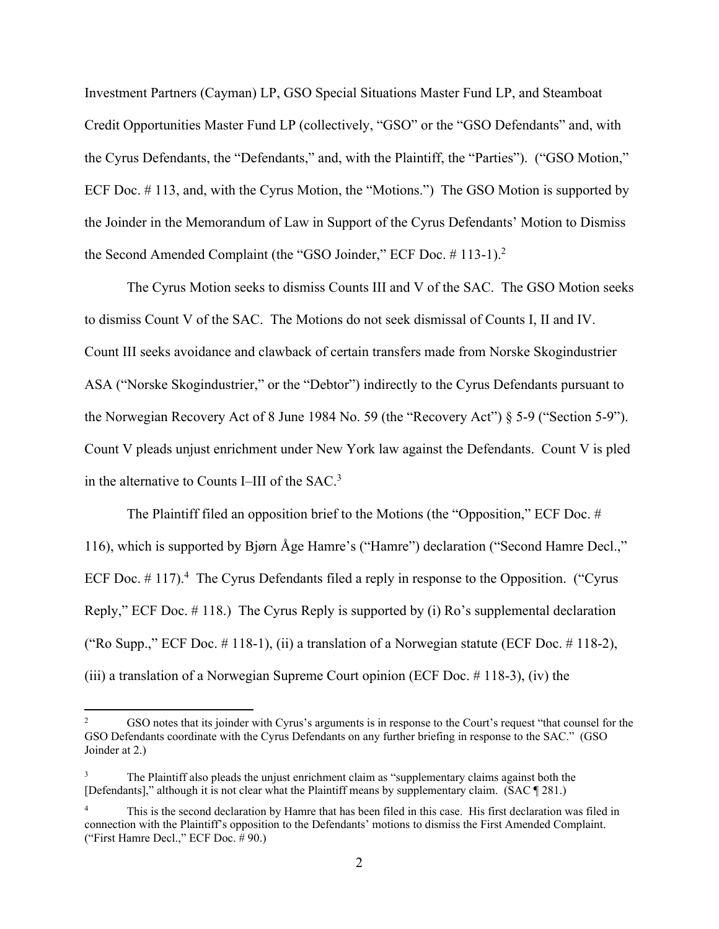Investment Partners (Cayman) LP, GSO Special Situations Master Fund LP, and Steamboat Credit Opportunities Master Fund LP (collectively, "GSO" or the "GSO Defendants" and, with the Cyrus Defendants, the "Defendants," and, with the Plaintiff, the "Parties"). ("GSO Motion," ECF Doc. # 113, and, with the Cyrus Motion, the "Motions.") The GSO Motion is supported by the Joinder in the Memorandum of Law in Support of the Cyrus Defendants' Motion to Dismiss the Second Amended Complaint (the "GSO Joinder," ECF Doc.  $\#$  113-1).<sup>2</sup>

The Cyrus Motion seeks to dismiss Counts III and V of the SAC. The GSO Motion seeks to dismiss Count V of the SAC. The Motions do not seek dismissal of Counts I, II and IV. Count III seeks avoidance and clawback of certain transfers made from Norske Skogindustrier ASA ("Norske Skogindustrier," or the "Debtor") indirectly to the Cyrus Defendants pursuant to the Norwegian Recovery Act of 8 June 1984 No. 59 (the "Recovery Act") § 5-9 ("Section 5-9"). Count V pleads unjust enrichment under New York law against the Defendants. Count V is pled in the alternative to Counts I–III of the SAC.<sup>3</sup>

The Plaintiff filed an opposition brief to the Motions (the "Opposition," ECF Doc. # 116), which is supported by Bjørn Åge Hamre's ("Hamre") declaration ("Second Hamre Decl.," ECF Doc.  $# 117$ ).<sup>4</sup> The Cyrus Defendants filed a reply in response to the Opposition. ("Cyrus Reply," ECF Doc. # 118.) The Cyrus Reply is supported by (i) Ro's supplemental declaration ("Ro Supp.," ECF Doc.  $\#$  118-1), (ii) a translation of a Norwegian statute (ECF Doc.  $\#$  118-2), (iii) a translation of a Norwegian Supreme Court opinion (ECF Doc. # 118-3), (iv) the

<sup>2</sup> GSO notes that its joinder with Cyrus's arguments is in response to the Court's request "that counsel for the GSO Defendants coordinate with the Cyrus Defendants on any further briefing in response to the SAC." (GSO Joinder at 2.)

<sup>3</sup> The Plaintiff also pleads the unjust enrichment claim as "supplementary claims against both the [Defendants]," although it is not clear what the Plaintiff means by supplementary claim. (SAC ¶ 281.)

<sup>4</sup> This is the second declaration by Hamre that has been filed in this case. His first declaration was filed in connection with the Plaintiff's opposition to the Defendants' motions to dismiss the First Amended Complaint. ("First Hamre Decl.," ECF Doc. # 90.)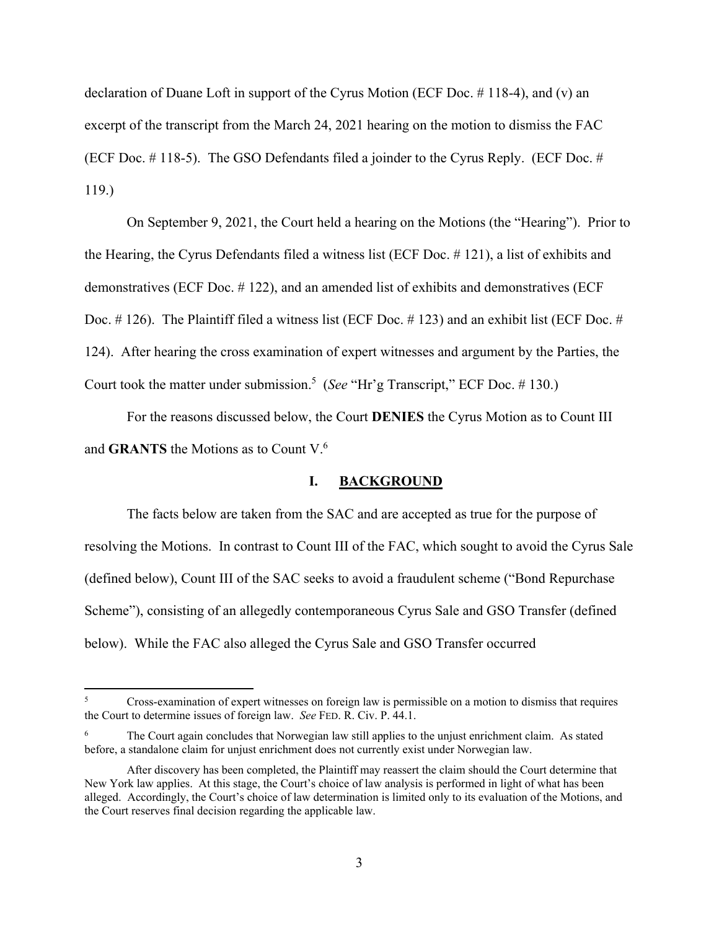declaration of Duane Loft in support of the Cyrus Motion (ECF Doc. # 118-4), and (v) an excerpt of the transcript from the March 24, 2021 hearing on the motion to dismiss the FAC (ECF Doc. # 118-5). The GSO Defendants filed a joinder to the Cyrus Reply. (ECF Doc. # 119.)

On September 9, 2021, the Court held a hearing on the Motions (the "Hearing"). Prior to the Hearing, the Cyrus Defendants filed a witness list (ECF Doc. # 121), a list of exhibits and demonstratives (ECF Doc. # 122), and an amended list of exhibits and demonstratives (ECF Doc. #126). The Plaintiff filed a witness list (ECF Doc. #123) and an exhibit list (ECF Doc. # 124). After hearing the cross examination of expert witnesses and argument by the Parties, the Court took the matter under submission.<sup>5</sup> (*See* "Hr'g Transcript," ECF Doc. #130.)

For the reasons discussed below, the Court **DENIES** the Cyrus Motion as to Count III and **GRANTS** the Motions as to Count V.<sup>6</sup>

## **I. BACKGROUND**

The facts below are taken from the SAC and are accepted as true for the purpose of resolving the Motions. In contrast to Count III of the FAC, which sought to avoid the Cyrus Sale (defined below), Count III of the SAC seeks to avoid a fraudulent scheme ("Bond Repurchase Scheme"), consisting of an allegedly contemporaneous Cyrus Sale and GSO Transfer (defined below). While the FAC also alleged the Cyrus Sale and GSO Transfer occurred

<sup>5</sup> Cross-examination of expert witnesses on foreign law is permissible on a motion to dismiss that requires the Court to determine issues of foreign law. *See* FED. R. Civ. P. 44.1.

<sup>6</sup> The Court again concludes that Norwegian law still applies to the unjust enrichment claim. As stated before, a standalone claim for unjust enrichment does not currently exist under Norwegian law.

After discovery has been completed, the Plaintiff may reassert the claim should the Court determine that New York law applies. At this stage, the Court's choice of law analysis is performed in light of what has been alleged. Accordingly, the Court's choice of law determination is limited only to its evaluation of the Motions, and the Court reserves final decision regarding the applicable law.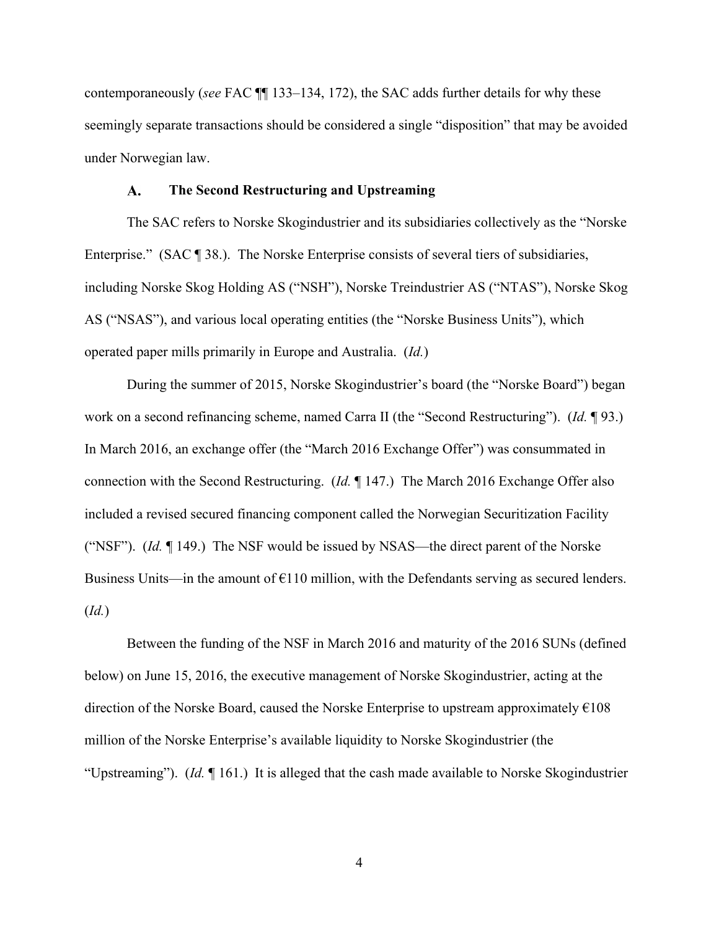contemporaneously (*see* FAC ¶¶ 133–134, 172), the SAC adds further details for why these seemingly separate transactions should be considered a single "disposition" that may be avoided under Norwegian law.

#### $\mathbf{A}$ . **The Second Restructuring and Upstreaming**

The SAC refers to Norske Skogindustrier and its subsidiaries collectively as the "Norske Enterprise." (SAC ¶ 38.). The Norske Enterprise consists of several tiers of subsidiaries, including Norske Skog Holding AS ("NSH"), Norske Treindustrier AS ("NTAS"), Norske Skog AS ("NSAS"), and various local operating entities (the "Norske Business Units"), which operated paper mills primarily in Europe and Australia. (*Id.*)

During the summer of 2015, Norske Skogindustrier's board (the "Norske Board") began work on a second refinancing scheme, named Carra II (the "Second Restructuring"). (*Id.* ¶ 93.) In March 2016, an exchange offer (the "March 2016 Exchange Offer") was consummated in connection with the Second Restructuring. (*Id.* ¶ 147.) The March 2016 Exchange Offer also included a revised secured financing component called the Norwegian Securitization Facility ("NSF"). (*Id.* ¶ 149.) The NSF would be issued by NSAS—the direct parent of the Norske Business Units—in the amount of  $E110$  million, with the Defendants serving as secured lenders. (*Id.*)

Between the funding of the NSF in March 2016 and maturity of the 2016 SUNs (defined below) on June 15, 2016, the executive management of Norske Skogindustrier, acting at the direction of the Norske Board, caused the Norske Enterprise to upstream approximately  $\epsilon$ 108 million of the Norske Enterprise's available liquidity to Norske Skogindustrier (the "Upstreaming"). (*Id.* ¶ 161.) It is alleged that the cash made available to Norske Skogindustrier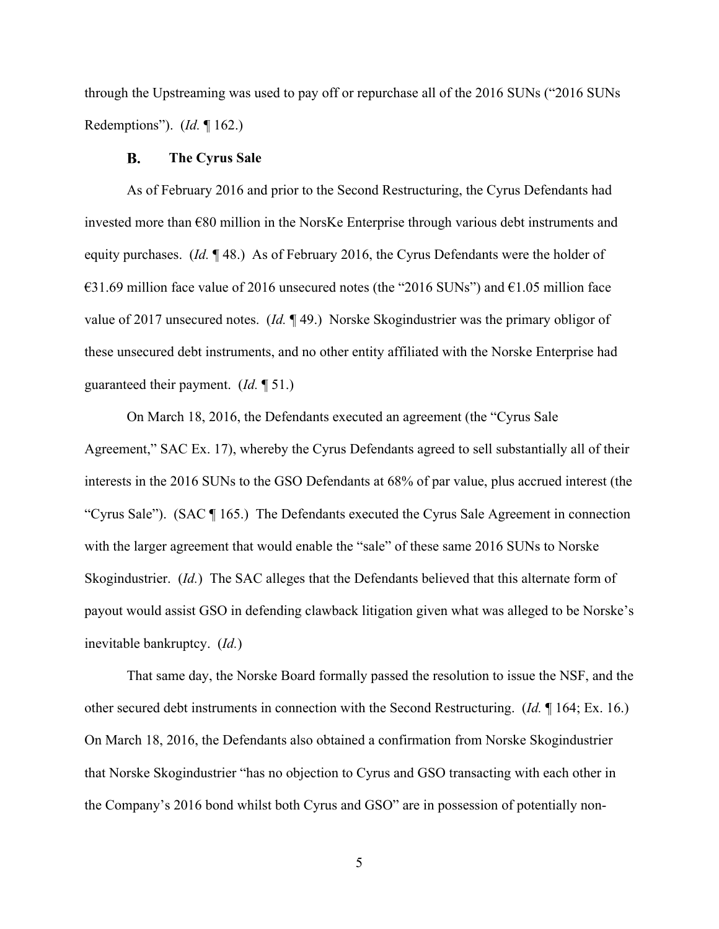through the Upstreaming was used to pay off or repurchase all of the 2016 SUNs ("2016 SUNs Redemptions"). (*Id.* ¶ 162.)

#### $\bf{B}$ . **The Cyrus Sale**

As of February 2016 and prior to the Second Restructuring, the Cyrus Defendants had invested more than €80 million in the NorsKe Enterprise through various debt instruments and equity purchases. (*Id.* ¶ 48.) As of February 2016, the Cyrus Defendants were the holder of  $\text{\textsterling}31.69$  million face value of 2016 unsecured notes (the "2016 SUNs") and  $\text{\textsterling}1.05$  million face value of 2017 unsecured notes. (*Id.* ¶ 49.) Norske Skogindustrier was the primary obligor of these unsecured debt instruments, and no other entity affiliated with the Norske Enterprise had guaranteed their payment. (*Id.* ¶ 51.)

On March 18, 2016, the Defendants executed an agreement (the "Cyrus Sale Agreement," SAC Ex. 17), whereby the Cyrus Defendants agreed to sell substantially all of their interests in the 2016 SUNs to the GSO Defendants at 68% of par value, plus accrued interest (the "Cyrus Sale"). (SAC ¶ 165.) The Defendants executed the Cyrus Sale Agreement in connection with the larger agreement that would enable the "sale" of these same 2016 SUNs to Norske Skogindustrier. (*Id.*) The SAC alleges that the Defendants believed that this alternate form of payout would assist GSO in defending clawback litigation given what was alleged to be Norske's inevitable bankruptcy. (*Id.*)

That same day, the Norske Board formally passed the resolution to issue the NSF, and the other secured debt instruments in connection with the Second Restructuring. (*Id.* ¶ 164; Ex. 16.) On March 18, 2016, the Defendants also obtained a confirmation from Norske Skogindustrier that Norske Skogindustrier "has no objection to Cyrus and GSO transacting with each other in the Company's 2016 bond whilst both Cyrus and GSO" are in possession of potentially non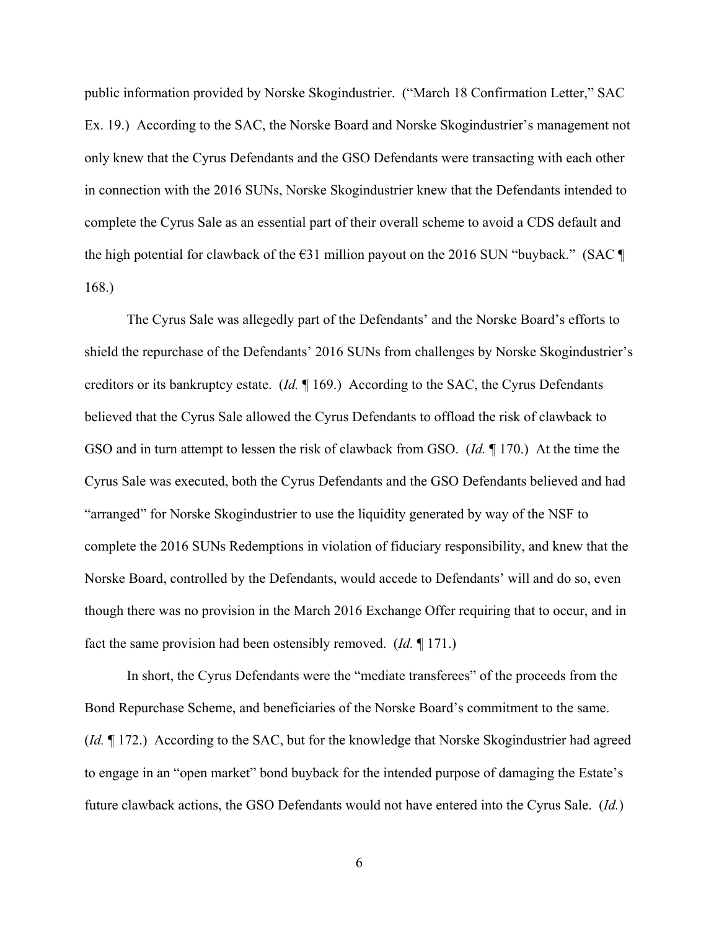public information provided by Norske Skogindustrier. ("March 18 Confirmation Letter," SAC Ex. 19.) According to the SAC, the Norske Board and Norske Skogindustrier's management not only knew that the Cyrus Defendants and the GSO Defendants were transacting with each other in connection with the 2016 SUNs, Norske Skogindustrier knew that the Defendants intended to complete the Cyrus Sale as an essential part of their overall scheme to avoid a CDS default and the high potential for clawback of the  $\epsilon$ 31 million payout on the 2016 SUN "buyback." (SAC ¶ 168.)

The Cyrus Sale was allegedly part of the Defendants' and the Norske Board's efforts to shield the repurchase of the Defendants' 2016 SUNs from challenges by Norske Skogindustrier's creditors or its bankruptcy estate. (*Id.* ¶ 169.) According to the SAC, the Cyrus Defendants believed that the Cyrus Sale allowed the Cyrus Defendants to offload the risk of clawback to GSO and in turn attempt to lessen the risk of clawback from GSO. (*Id.* ¶ 170.) At the time the Cyrus Sale was executed, both the Cyrus Defendants and the GSO Defendants believed and had "arranged" for Norske Skogindustrier to use the liquidity generated by way of the NSF to complete the 2016 SUNs Redemptions in violation of fiduciary responsibility, and knew that the Norske Board, controlled by the Defendants, would accede to Defendants' will and do so, even though there was no provision in the March 2016 Exchange Offer requiring that to occur, and in fact the same provision had been ostensibly removed. (*Id.* ¶ 171.)

In short, the Cyrus Defendants were the "mediate transferees" of the proceeds from the Bond Repurchase Scheme, and beneficiaries of the Norske Board's commitment to the same. (*Id.* ¶ 172.) According to the SAC, but for the knowledge that Norske Skogindustrier had agreed to engage in an "open market" bond buyback for the intended purpose of damaging the Estate's future clawback actions, the GSO Defendants would not have entered into the Cyrus Sale. (*Id.*)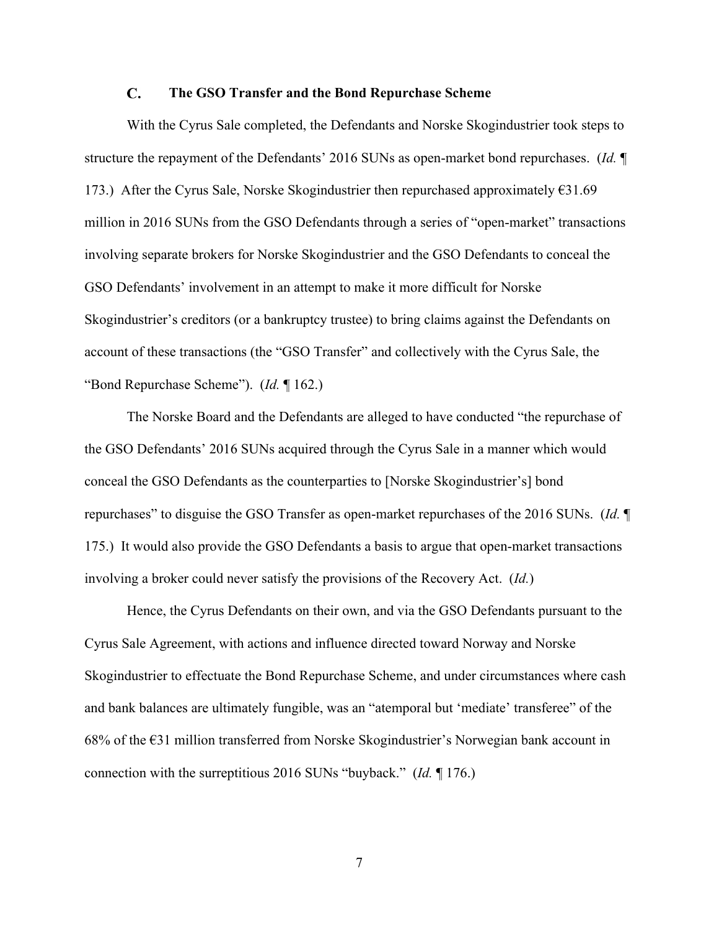#### $\mathbf{C}$ . **The GSO Transfer and the Bond Repurchase Scheme**

With the Cyrus Sale completed, the Defendants and Norske Skogindustrier took steps to structure the repayment of the Defendants' 2016 SUNs as open-market bond repurchases. (*Id.* ¶ 173.) After the Cyrus Sale, Norske Skogindustrier then repurchased approximately  $631.69$ million in 2016 SUNs from the GSO Defendants through a series of "open-market" transactions involving separate brokers for Norske Skogindustrier and the GSO Defendants to conceal the GSO Defendants' involvement in an attempt to make it more difficult for Norske Skogindustrier's creditors (or a bankruptcy trustee) to bring claims against the Defendants on account of these transactions (the "GSO Transfer" and collectively with the Cyrus Sale, the "Bond Repurchase Scheme"). (*Id.* ¶ 162.)

The Norske Board and the Defendants are alleged to have conducted "the repurchase of the GSO Defendants' 2016 SUNs acquired through the Cyrus Sale in a manner which would conceal the GSO Defendants as the counterparties to [Norske Skogindustrier's] bond repurchases" to disguise the GSO Transfer as open-market repurchases of the 2016 SUNs. (*Id.* ¶ 175.) It would also provide the GSO Defendants a basis to argue that open-market transactions involving a broker could never satisfy the provisions of the Recovery Act. (*Id.*)

Hence, the Cyrus Defendants on their own, and via the GSO Defendants pursuant to the Cyrus Sale Agreement, with actions and influence directed toward Norway and Norske Skogindustrier to effectuate the Bond Repurchase Scheme, and under circumstances where cash and bank balances are ultimately fungible, was an "atemporal but 'mediate' transferee" of the 68% of the  $\epsilon$ 31 million transferred from Norske Skogindustrier's Norwegian bank account in connection with the surreptitious 2016 SUNs "buyback." (*Id.* ¶ 176.)

7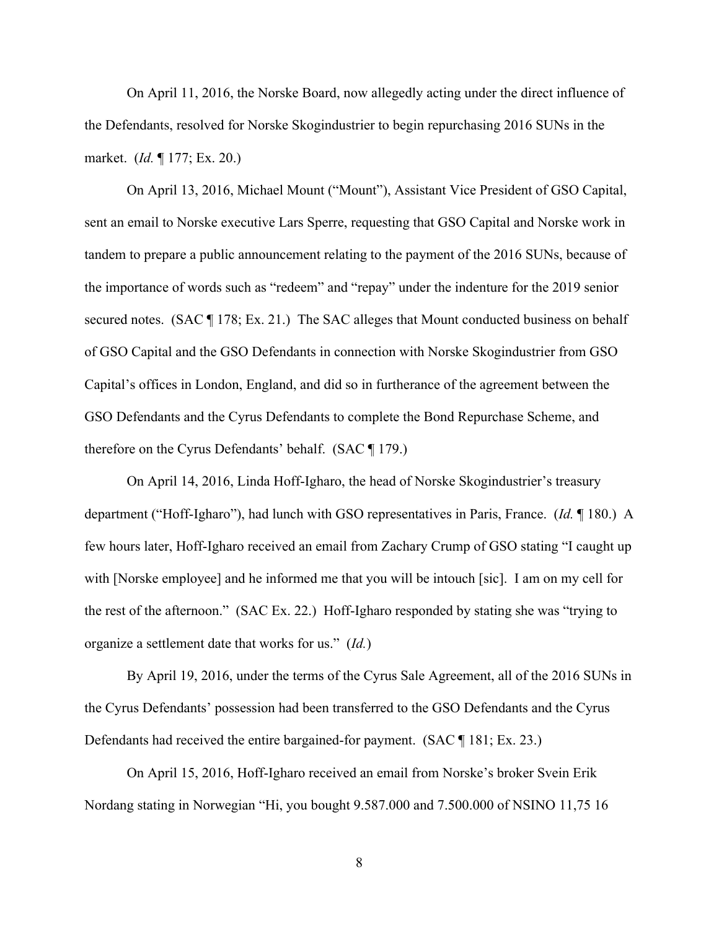On April 11, 2016, the Norske Board, now allegedly acting under the direct influence of the Defendants, resolved for Norske Skogindustrier to begin repurchasing 2016 SUNs in the market. (*Id.* ¶ 177; Ex. 20.)

On April 13, 2016, Michael Mount ("Mount"), Assistant Vice President of GSO Capital, sent an email to Norske executive Lars Sperre, requesting that GSO Capital and Norske work in tandem to prepare a public announcement relating to the payment of the 2016 SUNs, because of the importance of words such as "redeem" and "repay" under the indenture for the 2019 senior secured notes. (SAC  $\P$  178; Ex. 21.) The SAC alleges that Mount conducted business on behalf of GSO Capital and the GSO Defendants in connection with Norske Skogindustrier from GSO Capital's offices in London, England, and did so in furtherance of the agreement between the GSO Defendants and the Cyrus Defendants to complete the Bond Repurchase Scheme, and therefore on the Cyrus Defendants' behalf. (SAC ¶ 179.)

On April 14, 2016, Linda Hoff-Igharo, the head of Norske Skogindustrier's treasury department ("Hoff-Igharo"), had lunch with GSO representatives in Paris, France. (*Id.* ¶ 180.) A few hours later, Hoff-Igharo received an email from Zachary Crump of GSO stating "I caught up with [Norske employee] and he informed me that you will be intouch [sic]. I am on my cell for the rest of the afternoon." (SAC Ex. 22.) Hoff-Igharo responded by stating she was "trying to organize a settlement date that works for us." (*Id.*)

By April 19, 2016, under the terms of the Cyrus Sale Agreement, all of the 2016 SUNs in the Cyrus Defendants' possession had been transferred to the GSO Defendants and the Cyrus Defendants had received the entire bargained-for payment. (SAC ¶ 181; Ex. 23.)

On April 15, 2016, Hoff-Igharo received an email from Norske's broker Svein Erik Nordang stating in Norwegian "Hi, you bought 9.587.000 and 7.500.000 of NSINO 11,75 16

8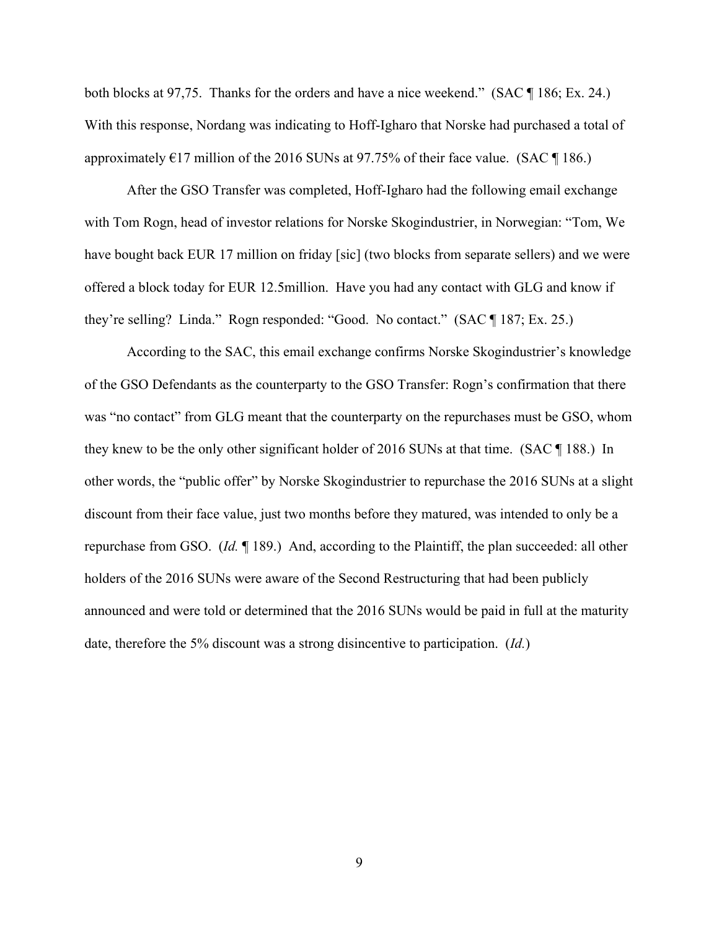both blocks at 97,75. Thanks for the orders and have a nice weekend." (SAC ¶ 186; Ex. 24.) With this response, Nordang was indicating to Hoff-Igharo that Norske had purchased a total of approximately  $E17$  million of the 2016 SUNs at 97.75% of their face value. (SAC  $\P$  186.)

After the GSO Transfer was completed, Hoff-Igharo had the following email exchange with Tom Rogn, head of investor relations for Norske Skogindustrier, in Norwegian: "Tom, We have bought back EUR 17 million on friday [sic] (two blocks from separate sellers) and we were offered a block today for EUR 12.5million. Have you had any contact with GLG and know if they're selling? Linda." Rogn responded: "Good. No contact." (SAC ¶ 187; Ex. 25.)

According to the SAC, this email exchange confirms Norske Skogindustrier's knowledge of the GSO Defendants as the counterparty to the GSO Transfer: Rogn's confirmation that there was "no contact" from GLG meant that the counterparty on the repurchases must be GSO, whom they knew to be the only other significant holder of 2016 SUNs at that time. (SAC ¶ 188.) In other words, the "public offer" by Norske Skogindustrier to repurchase the 2016 SUNs at a slight discount from their face value, just two months before they matured, was intended to only be a repurchase from GSO. (*Id.* ¶ 189.) And, according to the Plaintiff, the plan succeeded: all other holders of the 2016 SUNs were aware of the Second Restructuring that had been publicly announced and were told or determined that the 2016 SUNs would be paid in full at the maturity date, therefore the 5% discount was a strong disincentive to participation. (*Id.*)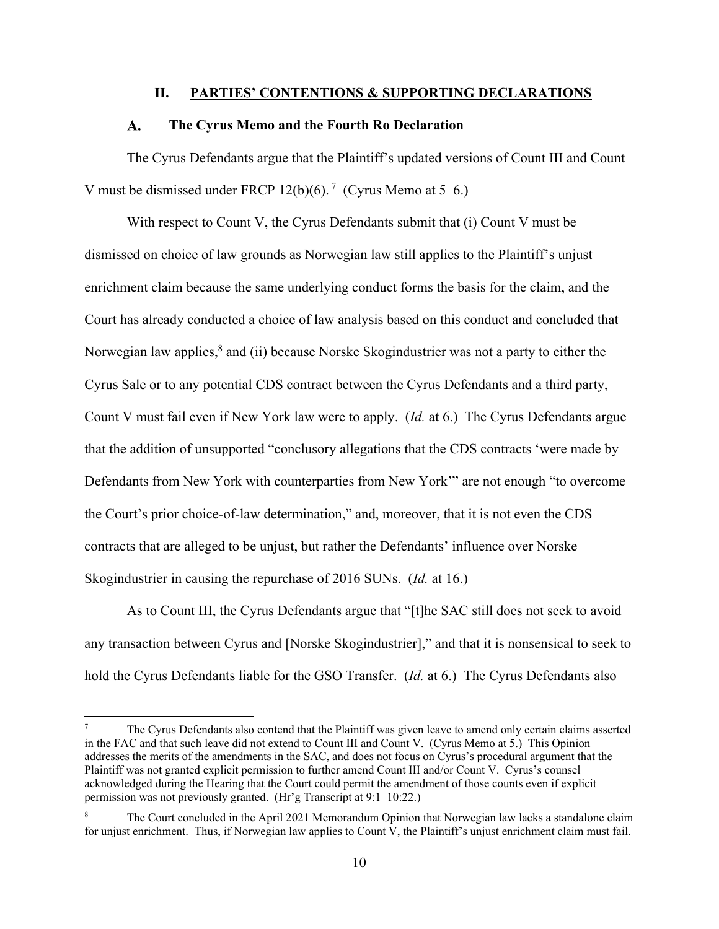### **II. PARTIES' CONTENTIONS & SUPPORTING DECLARATIONS**

#### **The Cyrus Memo and the Fourth Ro Declaration**   $\mathbf{A}$ .

The Cyrus Defendants argue that the Plaintiff's updated versions of Count III and Count V must be dismissed under FRCP 12(b)(6).<sup>7</sup> (Cyrus Memo at 5–6.)

With respect to Count V, the Cyrus Defendants submit that (i) Count V must be dismissed on choice of law grounds as Norwegian law still applies to the Plaintiff's unjust enrichment claim because the same underlying conduct forms the basis for the claim, and the Court has already conducted a choice of law analysis based on this conduct and concluded that Norwegian law applies,<sup>8</sup> and (ii) because Norske Skogindustrier was not a party to either the Cyrus Sale or to any potential CDS contract between the Cyrus Defendants and a third party, Count V must fail even if New York law were to apply. (*Id.* at 6.) The Cyrus Defendants argue that the addition of unsupported "conclusory allegations that the CDS contracts 'were made by Defendants from New York with counterparties from New York'" are not enough "to overcome the Court's prior choice-of-law determination," and, moreover, that it is not even the CDS contracts that are alleged to be unjust, but rather the Defendants' influence over Norske Skogindustrier in causing the repurchase of 2016 SUNs. (*Id.* at 16.)

As to Count III, the Cyrus Defendants argue that "[t]he SAC still does not seek to avoid any transaction between Cyrus and [Norske Skogindustrier]," and that it is nonsensical to seek to hold the Cyrus Defendants liable for the GSO Transfer. (*Id.* at 6.) The Cyrus Defendants also

<sup>7</sup> The Cyrus Defendants also contend that the Plaintiff was given leave to amend only certain claims asserted in the FAC and that such leave did not extend to Count III and Count V. (Cyrus Memo at 5.) This Opinion addresses the merits of the amendments in the SAC, and does not focus on Cyrus's procedural argument that the Plaintiff was not granted explicit permission to further amend Count III and/or Count V. Cyrus's counsel acknowledged during the Hearing that the Court could permit the amendment of those counts even if explicit permission was not previously granted. (Hr'g Transcript at 9:1–10:22.)

<sup>8</sup> The Court concluded in the April 2021 Memorandum Opinion that Norwegian law lacks a standalone claim for unjust enrichment. Thus, if Norwegian law applies to Count V, the Plaintiff's unjust enrichment claim must fail.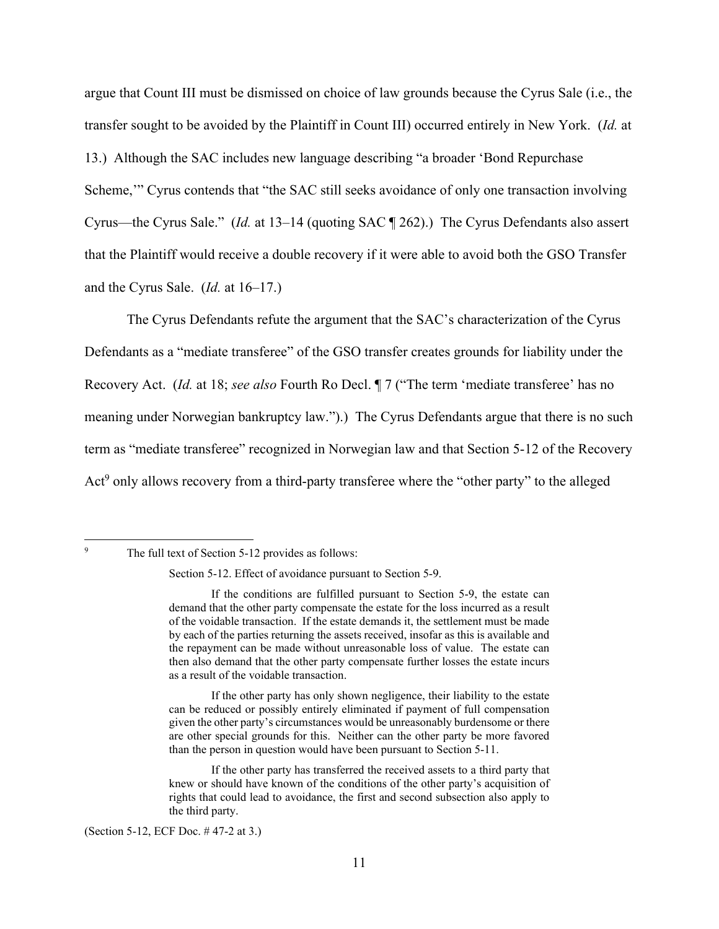argue that Count III must be dismissed on choice of law grounds because the Cyrus Sale (i.e., the transfer sought to be avoided by the Plaintiff in Count III) occurred entirely in New York. (*Id.* at 13.) Although the SAC includes new language describing "a broader 'Bond Repurchase Scheme,'" Cyrus contends that "the SAC still seeks avoidance of only one transaction involving Cyrus—the Cyrus Sale." (*Id.* at 13–14 (quoting SAC ¶ 262).) The Cyrus Defendants also assert that the Plaintiff would receive a double recovery if it were able to avoid both the GSO Transfer and the Cyrus Sale. (*Id.* at 16–17.)

The Cyrus Defendants refute the argument that the SAC's characterization of the Cyrus Defendants as a "mediate transferee" of the GSO transfer creates grounds for liability under the Recovery Act. (*Id.* at 18; *see also* Fourth Ro Decl. ¶ 7 ("The term 'mediate transferee' has no meaning under Norwegian bankruptcy law.").) The Cyrus Defendants argue that there is no such term as "mediate transferee" recognized in Norwegian law and that Section 5-12 of the Recovery Act<sup>9</sup> only allows recovery from a third-party transferee where the "other party" to the alleged

9

The full text of Section 5-12 provides as follows:

Section 5-12. Effect of avoidance pursuant to Section 5-9.

If the conditions are fulfilled pursuant to Section 5-9, the estate can demand that the other party compensate the estate for the loss incurred as a result of the voidable transaction. If the estate demands it, the settlement must be made by each of the parties returning the assets received, insofar as this is available and the repayment can be made without unreasonable loss of value. The estate can then also demand that the other party compensate further losses the estate incurs as a result of the voidable transaction.

If the other party has only shown negligence, their liability to the estate can be reduced or possibly entirely eliminated if payment of full compensation given the other party's circumstances would be unreasonably burdensome or there are other special grounds for this. Neither can the other party be more favored than the person in question would have been pursuant to Section 5-11.

If the other party has transferred the received assets to a third party that knew or should have known of the conditions of the other party's acquisition of rights that could lead to avoidance, the first and second subsection also apply to the third party.

<sup>(</sup>Section 5-12, ECF Doc. # 47-2 at 3.)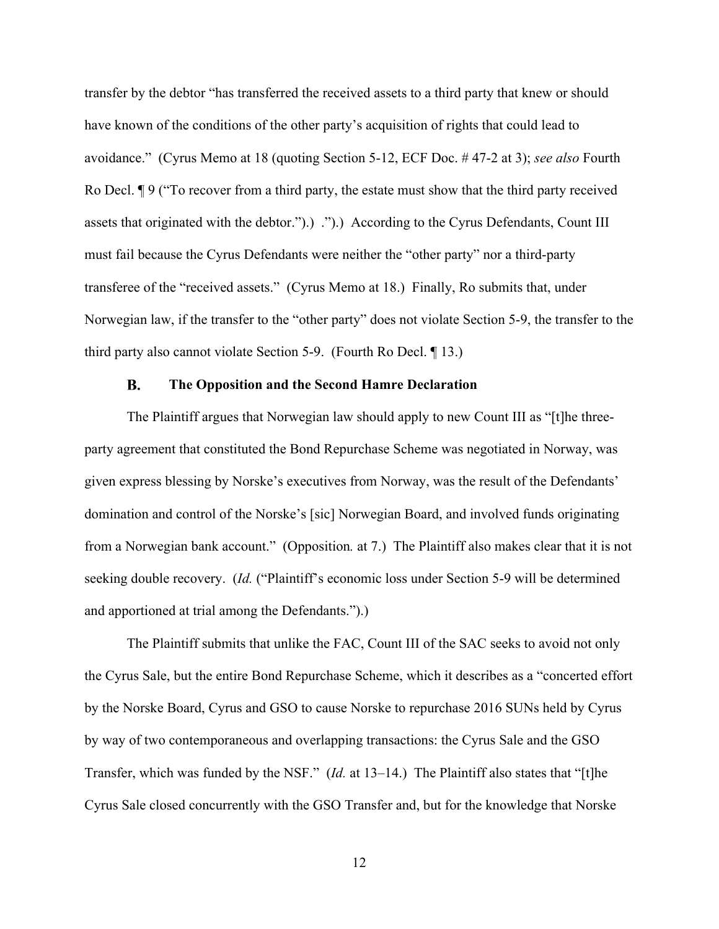transfer by the debtor "has transferred the received assets to a third party that knew or should have known of the conditions of the other party's acquisition of rights that could lead to avoidance." (Cyrus Memo at 18 (quoting Section 5-12, ECF Doc. # 47-2 at 3); *see also* Fourth Ro Decl. ¶ 9 ("To recover from a third party, the estate must show that the third party received assets that originated with the debtor.").) .").) According to the Cyrus Defendants, Count III must fail because the Cyrus Defendants were neither the "other party" nor a third-party transferee of the "received assets." (Cyrus Memo at 18.) Finally, Ro submits that, under Norwegian law, if the transfer to the "other party" does not violate Section 5-9, the transfer to the third party also cannot violate Section 5-9. (Fourth Ro Decl. ¶ 13.)

#### **B. The Opposition and the Second Hamre Declaration**

The Plaintiff argues that Norwegian law should apply to new Count III as "[t]he threeparty agreement that constituted the Bond Repurchase Scheme was negotiated in Norway, was given express blessing by Norske's executives from Norway, was the result of the Defendants' domination and control of the Norske's [sic] Norwegian Board, and involved funds originating from a Norwegian bank account." (Opposition*.* at 7.) The Plaintiff also makes clear that it is not seeking double recovery. (*Id.* ("Plaintiff's economic loss under Section 5-9 will be determined and apportioned at trial among the Defendants.").)

The Plaintiff submits that unlike the FAC, Count III of the SAC seeks to avoid not only the Cyrus Sale, but the entire Bond Repurchase Scheme, which it describes as a "concerted effort by the Norske Board, Cyrus and GSO to cause Norske to repurchase 2016 SUNs held by Cyrus by way of two contemporaneous and overlapping transactions: the Cyrus Sale and the GSO Transfer, which was funded by the NSF." (*Id.* at 13–14.) The Plaintiff also states that "[t]he Cyrus Sale closed concurrently with the GSO Transfer and, but for the knowledge that Norske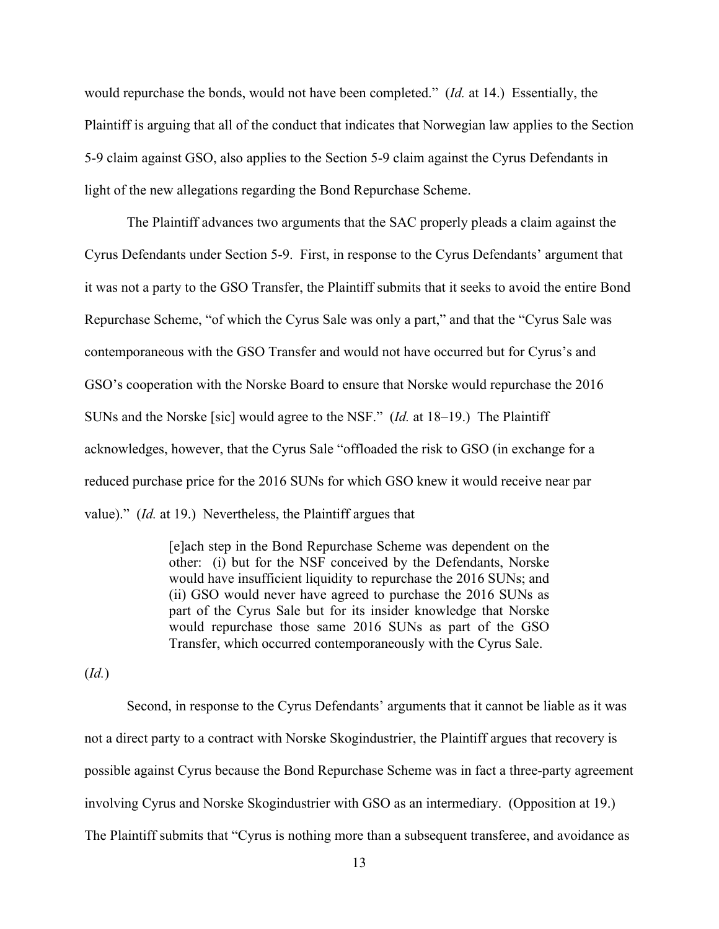would repurchase the bonds, would not have been completed." (*Id.* at 14.) Essentially, the Plaintiff is arguing that all of the conduct that indicates that Norwegian law applies to the Section 5-9 claim against GSO, also applies to the Section 5-9 claim against the Cyrus Defendants in light of the new allegations regarding the Bond Repurchase Scheme.

The Plaintiff advances two arguments that the SAC properly pleads a claim against the Cyrus Defendants under Section 5-9. First, in response to the Cyrus Defendants' argument that it was not a party to the GSO Transfer, the Plaintiff submits that it seeks to avoid the entire Bond Repurchase Scheme, "of which the Cyrus Sale was only a part," and that the "Cyrus Sale was contemporaneous with the GSO Transfer and would not have occurred but for Cyrus's and GSO's cooperation with the Norske Board to ensure that Norske would repurchase the 2016 SUNs and the Norske [sic] would agree to the NSF." (*Id.* at 18–19.) The Plaintiff acknowledges, however, that the Cyrus Sale "offloaded the risk to GSO (in exchange for a reduced purchase price for the 2016 SUNs for which GSO knew it would receive near par value)." (*Id.* at 19.) Nevertheless, the Plaintiff argues that

> [e]ach step in the Bond Repurchase Scheme was dependent on the other: (i) but for the NSF conceived by the Defendants, Norske would have insufficient liquidity to repurchase the 2016 SUNs; and (ii) GSO would never have agreed to purchase the 2016 SUNs as part of the Cyrus Sale but for its insider knowledge that Norske would repurchase those same 2016 SUNs as part of the GSO Transfer, which occurred contemporaneously with the Cyrus Sale.

(*Id.*)

Second, in response to the Cyrus Defendants' arguments that it cannot be liable as it was not a direct party to a contract with Norske Skogindustrier, the Plaintiff argues that recovery is possible against Cyrus because the Bond Repurchase Scheme was in fact a three-party agreement involving Cyrus and Norske Skogindustrier with GSO as an intermediary. (Opposition at 19.) The Plaintiff submits that "Cyrus is nothing more than a subsequent transferee, and avoidance as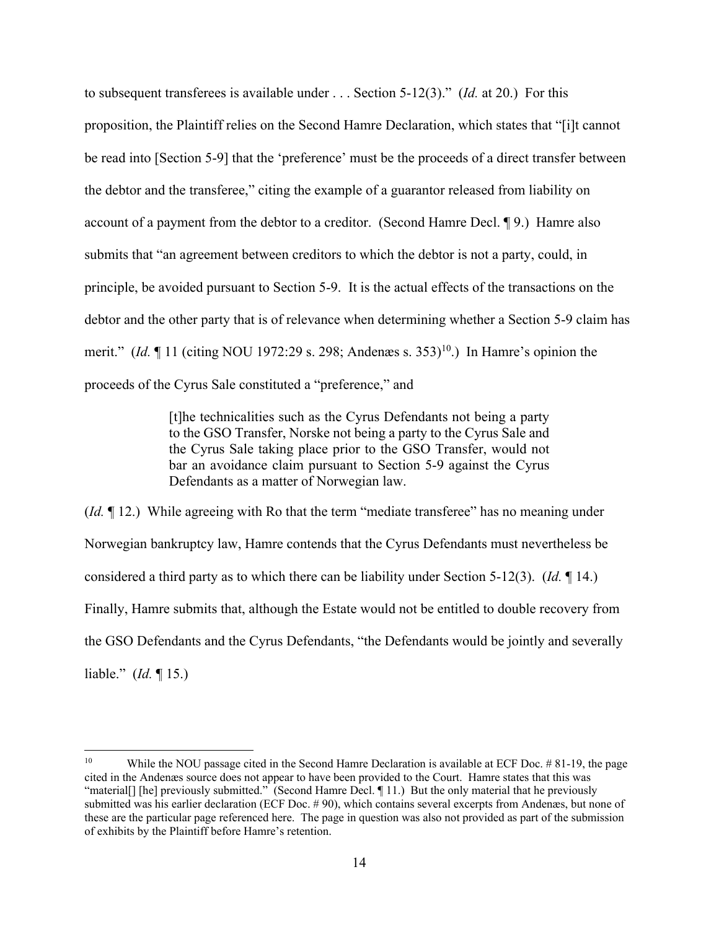to subsequent transferees is available under . . . Section 5-12(3)." (*Id.* at 20.) For this proposition, the Plaintiff relies on the Second Hamre Declaration, which states that "[i]t cannot be read into [Section 5-9] that the 'preference' must be the proceeds of a direct transfer between the debtor and the transferee," citing the example of a guarantor released from liability on account of a payment from the debtor to a creditor. (Second Hamre Decl. ¶ 9.) Hamre also submits that "an agreement between creditors to which the debtor is not a party, could, in principle, be avoided pursuant to Section 5-9. It is the actual effects of the transactions on the debtor and the other party that is of relevance when determining whether a Section 5-9 claim has merit." (*Id.*  $\P$  11 (citing NOU 1972:29 s. 298; Andenæs s. 353)<sup>10</sup>.) In Hamre's opinion the proceeds of the Cyrus Sale constituted a "preference," and

> [t]he technicalities such as the Cyrus Defendants not being a party to the GSO Transfer, Norske not being a party to the Cyrus Sale and the Cyrus Sale taking place prior to the GSO Transfer, would not bar an avoidance claim pursuant to Section 5-9 against the Cyrus Defendants as a matter of Norwegian law.

(*Id.* ¶ 12.) While agreeing with Ro that the term "mediate transferee" has no meaning under Norwegian bankruptcy law, Hamre contends that the Cyrus Defendants must nevertheless be considered a third party as to which there can be liability under Section 5-12(3). (*Id.* ¶ 14.) Finally, Hamre submits that, although the Estate would not be entitled to double recovery from the GSO Defendants and the Cyrus Defendants, "the Defendants would be jointly and severally liable." (*Id.* ¶ 15.)

<sup>&</sup>lt;sup>10</sup> While the NOU passage cited in the Second Hamre Declaration is available at ECF Doc.  $\#$  81-19, the page cited in the Andenæs source does not appear to have been provided to the Court. Hamre states that this was "material[] [he] previously submitted." (Second Hamre Decl. ¶ 11.) But the only material that he previously submitted was his earlier declaration (ECF Doc. # 90), which contains several excerpts from Andenæs, but none of these are the particular page referenced here. The page in question was also not provided as part of the submission of exhibits by the Plaintiff before Hamre's retention.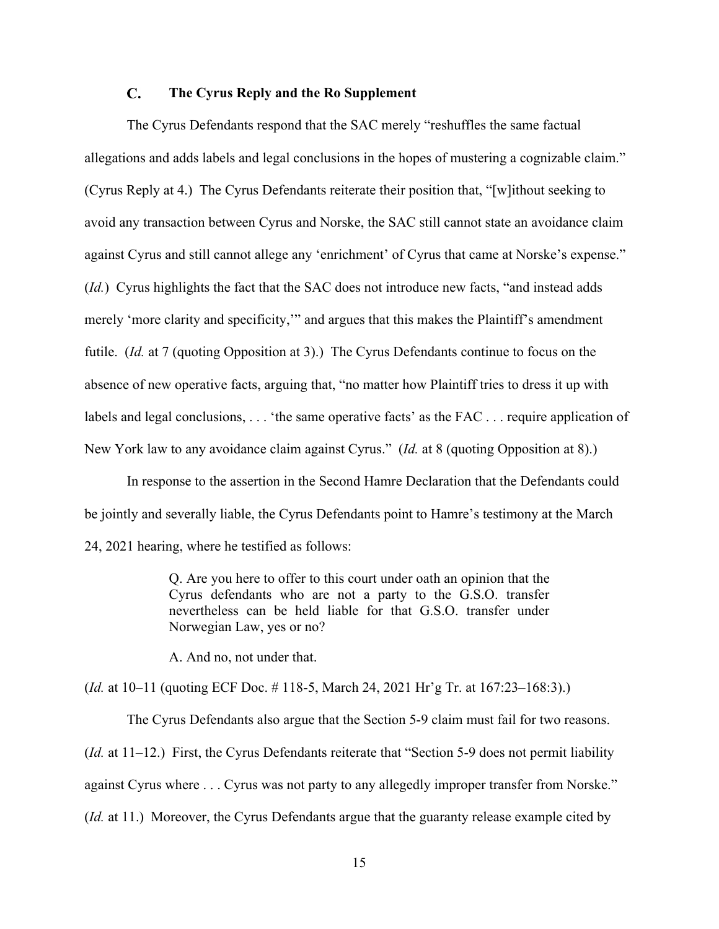#### $\mathbf{C}$ . **The Cyrus Reply and the Ro Supplement**

The Cyrus Defendants respond that the SAC merely "reshuffles the same factual allegations and adds labels and legal conclusions in the hopes of mustering a cognizable claim." (Cyrus Reply at 4.) The Cyrus Defendants reiterate their position that, "[w]ithout seeking to avoid any transaction between Cyrus and Norske, the SAC still cannot state an avoidance claim against Cyrus and still cannot allege any 'enrichment' of Cyrus that came at Norske's expense." (*Id.*) Cyrus highlights the fact that the SAC does not introduce new facts, "and instead adds merely 'more clarity and specificity,'" and argues that this makes the Plaintiff's amendment futile. *(Id.* at 7 (quoting Opposition at 3).) The Cyrus Defendants continue to focus on the absence of new operative facts, arguing that, "no matter how Plaintiff tries to dress it up with labels and legal conclusions, ... 'the same operative facts' as the FAC ... require application of New York law to any avoidance claim against Cyrus." (*Id.* at 8 (quoting Opposition at 8).)

In response to the assertion in the Second Hamre Declaration that the Defendants could be jointly and severally liable, the Cyrus Defendants point to Hamre's testimony at the March 24, 2021 hearing, where he testified as follows:

> Q. Are you here to offer to this court under oath an opinion that the Cyrus defendants who are not a party to the G.S.O. transfer nevertheless can be held liable for that G.S.O. transfer under Norwegian Law, yes or no?

A. And no, not under that.

(*Id.* at 10–11 (quoting ECF Doc. # 118-5, March 24, 2021 Hr'g Tr. at 167:23–168:3).)

 The Cyrus Defendants also argue that the Section 5-9 claim must fail for two reasons. (*Id.* at 11–12.) First, the Cyrus Defendants reiterate that "Section 5-9 does not permit liability against Cyrus where . . . Cyrus was not party to any allegedly improper transfer from Norske." (*Id.* at 11.) Moreover, the Cyrus Defendants argue that the guaranty release example cited by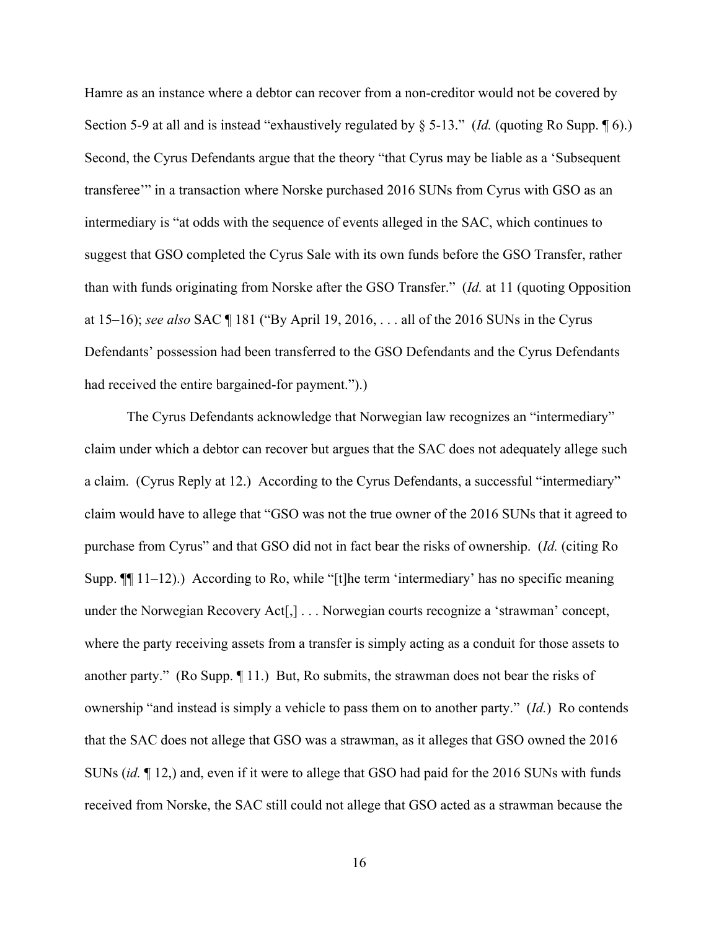Hamre as an instance where a debtor can recover from a non-creditor would not be covered by Section 5-9 at all and is instead "exhaustively regulated by § 5-13." (*Id.* (quoting Ro Supp. ¶ 6).) Second, the Cyrus Defendants argue that the theory "that Cyrus may be liable as a 'Subsequent transferee'" in a transaction where Norske purchased 2016 SUNs from Cyrus with GSO as an intermediary is "at odds with the sequence of events alleged in the SAC, which continues to suggest that GSO completed the Cyrus Sale with its own funds before the GSO Transfer, rather than with funds originating from Norske after the GSO Transfer." (*Id.* at 11 (quoting Opposition at 15–16); *see also* SAC ¶ 181 ("By April 19, 2016, . . . all of the 2016 SUNs in the Cyrus Defendants' possession had been transferred to the GSO Defendants and the Cyrus Defendants had received the entire bargained-for payment.").)

 The Cyrus Defendants acknowledge that Norwegian law recognizes an "intermediary" claim under which a debtor can recover but argues that the SAC does not adequately allege such a claim. (Cyrus Reply at 12.) According to the Cyrus Defendants, a successful "intermediary" claim would have to allege that "GSO was not the true owner of the 2016 SUNs that it agreed to purchase from Cyrus" and that GSO did not in fact bear the risks of ownership. (*Id.* (citing Ro Supp. ¶¶ 11–12).) According to Ro, while "[t]he term 'intermediary' has no specific meaning under the Norwegian Recovery Act[,] . . . Norwegian courts recognize a 'strawman' concept, where the party receiving assets from a transfer is simply acting as a conduit for those assets to another party." (Ro Supp. ¶ 11.) But, Ro submits, the strawman does not bear the risks of ownership "and instead is simply a vehicle to pass them on to another party." (*Id.*) Ro contends that the SAC does not allege that GSO was a strawman, as it alleges that GSO owned the 2016 SUNs (*id.* ¶ 12,) and, even if it were to allege that GSO had paid for the 2016 SUNs with funds received from Norske, the SAC still could not allege that GSO acted as a strawman because the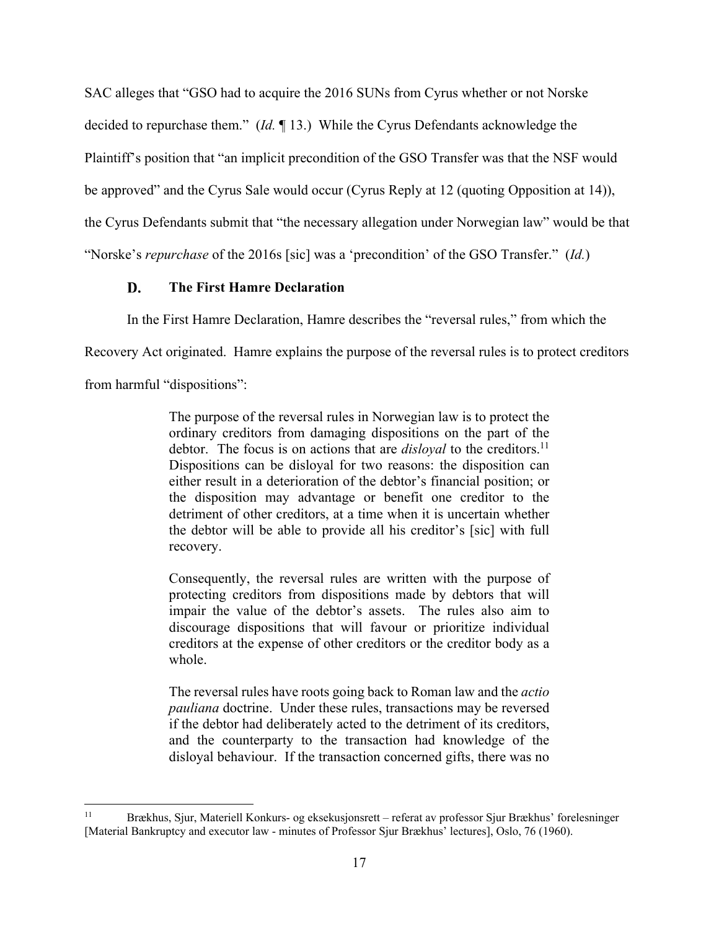SAC alleges that "GSO had to acquire the 2016 SUNs from Cyrus whether or not Norske decided to repurchase them." (*Id.* ¶ 13.) While the Cyrus Defendants acknowledge the Plaintiff's position that "an implicit precondition of the GSO Transfer was that the NSF would be approved" and the Cyrus Sale would occur (Cyrus Reply at 12 (quoting Opposition at 14)), the Cyrus Defendants submit that "the necessary allegation under Norwegian law" would be that

"Norske's *repurchase* of the 2016s [sic] was a 'precondition' of the GSO Transfer." (*Id.*)

#### D. **The First Hamre Declaration**

In the First Hamre Declaration, Hamre describes the "reversal rules," from which the

Recovery Act originated. Hamre explains the purpose of the reversal rules is to protect creditors

from harmful "dispositions":

The purpose of the reversal rules in Norwegian law is to protect the ordinary creditors from damaging dispositions on the part of the debtor. The focus is on actions that are *disloyal* to the creditors.<sup>11</sup> Dispositions can be disloyal for two reasons: the disposition can either result in a deterioration of the debtor's financial position; or the disposition may advantage or benefit one creditor to the detriment of other creditors, at a time when it is uncertain whether the debtor will be able to provide all his creditor's [sic] with full recovery.

Consequently, the reversal rules are written with the purpose of protecting creditors from dispositions made by debtors that will impair the value of the debtor's assets. The rules also aim to discourage dispositions that will favour or prioritize individual creditors at the expense of other creditors or the creditor body as a whole.

The reversal rules have roots going back to Roman law and the *actio pauliana* doctrine. Under these rules, transactions may be reversed if the debtor had deliberately acted to the detriment of its creditors, and the counterparty to the transaction had knowledge of the disloyal behaviour. If the transaction concerned gifts, there was no

<sup>11</sup> Brækhus, Sjur, Materiell Konkurs- og eksekusjonsrett – referat av professor Sjur Brækhus' forelesninger [Material Bankruptcy and executor law - minutes of Professor Sjur Brækhus' lectures], Oslo, 76 (1960).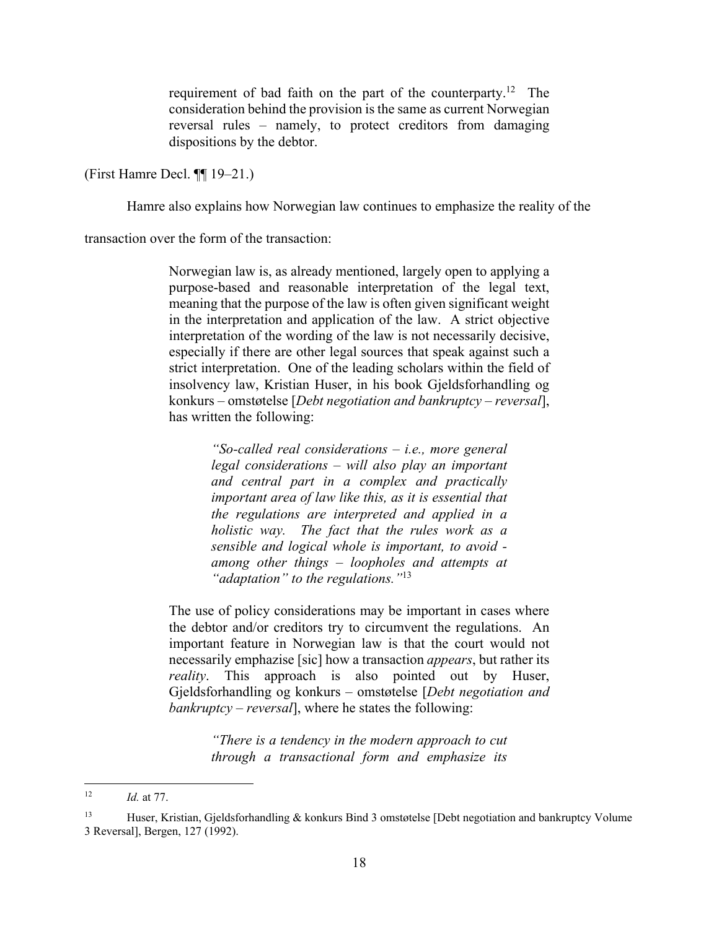requirement of bad faith on the part of the counterparty.12 The consideration behind the provision is the same as current Norwegian reversal rules – namely, to protect creditors from damaging dispositions by the debtor.

(First Hamre Decl. ¶¶ 19–21.)

Hamre also explains how Norwegian law continues to emphasize the reality of the

transaction over the form of the transaction:

Norwegian law is, as already mentioned, largely open to applying a purpose-based and reasonable interpretation of the legal text, meaning that the purpose of the law is often given significant weight in the interpretation and application of the law. A strict objective interpretation of the wording of the law is not necessarily decisive, especially if there are other legal sources that speak against such a strict interpretation. One of the leading scholars within the field of insolvency law, Kristian Huser, in his book Gjeldsforhandling og konkurs – omstøtelse [*Debt negotiation and bankruptcy – reversal*], has written the following:

> *"So-called real considerations – i.e., more general legal considerations – will also play an important and central part in a complex and practically important area of law like this, as it is essential that the regulations are interpreted and applied in a holistic way. The fact that the rules work as a sensible and logical whole is important, to avoid among other things – loopholes and attempts at "adaptation" to the regulations."*13

The use of policy considerations may be important in cases where the debtor and/or creditors try to circumvent the regulations. An important feature in Norwegian law is that the court would not necessarily emphazise [sic] how a transaction *appears*, but rather its *reality*. This approach is also pointed out by Huser, Gjeldsforhandling og konkurs – omstøtelse [*Debt negotiation and bankruptcy – reversal*], where he states the following:

> *"There is a tendency in the modern approach to cut through a transactional form and emphasize its*

<sup>12</sup> *Id.* at 77.

<sup>&</sup>lt;sup>13</sup> Huser, Kristian, Gjeldsforhandling  $\&$  konkurs Bind 3 omstøtelse [Debt negotiation and bankruptcy Volume 3 Reversal], Bergen, 127 (1992).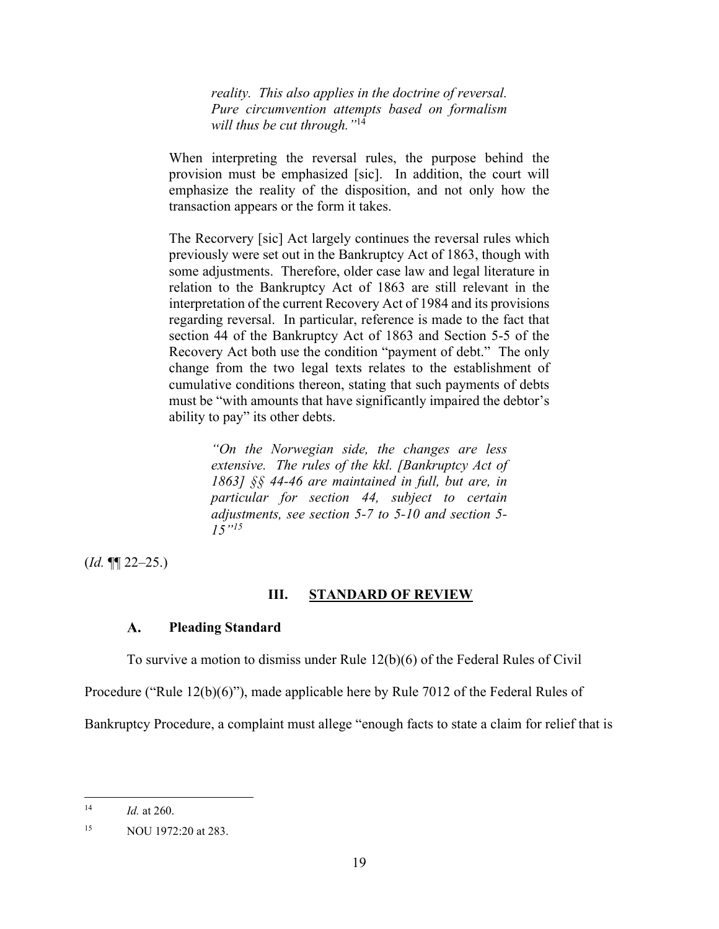*reality. This also applies in the doctrine of reversal. Pure circumvention attempts based on formalism will thus be cut through."*14

When interpreting the reversal rules, the purpose behind the provision must be emphasized [sic]. In addition, the court will emphasize the reality of the disposition, and not only how the transaction appears or the form it takes.

The Recorvery [sic] Act largely continues the reversal rules which previously were set out in the Bankruptcy Act of 1863, though with some adjustments. Therefore, older case law and legal literature in relation to the Bankruptcy Act of 1863 are still relevant in the interpretation of the current Recovery Act of 1984 and its provisions regarding reversal. In particular, reference is made to the fact that section 44 of the Bankruptcy Act of 1863 and Section 5-5 of the Recovery Act both use the condition "payment of debt." The only change from the two legal texts relates to the establishment of cumulative conditions thereon, stating that such payments of debts must be "with amounts that have significantly impaired the debtor's ability to pay" its other debts.

> *"On the Norwegian side, the changes are less extensive. The rules of the kkl. [Bankruptcy Act of 1863] §§ 44-46 are maintained in full, but are, in particular for section 44, subject to certain adjustments, see section 5-7 to 5-10 and section 5- 15"15*

 $(Id. \P\P 22-25.)$ 

## **III. STANDARD OF REVIEW**

#### $\mathbf{A}$ . **Pleading Standard**

To survive a motion to dismiss under Rule 12(b)(6) of the Federal Rules of Civil

Procedure ("Rule 12(b)(6)"), made applicable here by Rule 7012 of the Federal Rules of

Bankruptcy Procedure, a complaint must allege "enough facts to state a claim for relief that is

<sup>14</sup> *Id.* at 260.

<sup>15</sup> NOU 1972:20 at 283.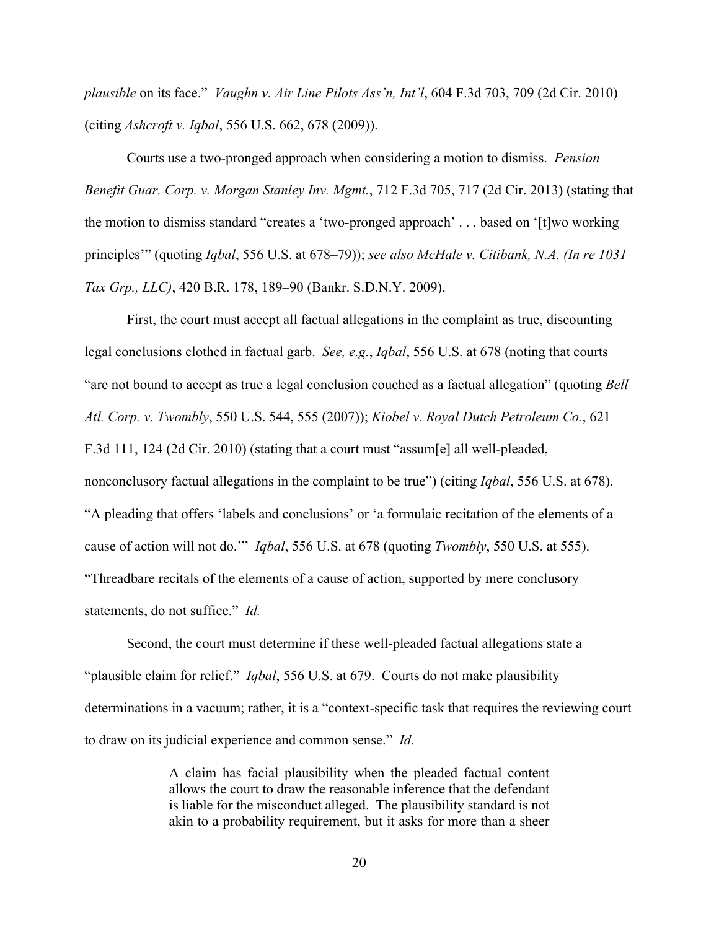*plausible* on its face." *Vaughn v. Air Line Pilots Ass'n, Int'l*, 604 F.3d 703, 709 (2d Cir. 2010) (citing *Ashcroft v. Iqbal*, 556 U.S. 662, 678 (2009)).

Courts use a two-pronged approach when considering a motion to dismiss. *Pension Benefit Guar. Corp. v. Morgan Stanley Inv. Mgmt.*, 712 F.3d 705, 717 (2d Cir. 2013) (stating that the motion to dismiss standard "creates a 'two-pronged approach' . . . based on '[t]wo working principles'" (quoting *Iqbal*, 556 U.S. at 678–79)); *see also McHale v. Citibank, N.A. (In re 1031 Tax Grp., LLC)*, 420 B.R. 178, 189–90 (Bankr. S.D.N.Y. 2009).

First, the court must accept all factual allegations in the complaint as true, discounting legal conclusions clothed in factual garb. *See, e.g.*, *Iqbal*, 556 U.S. at 678 (noting that courts "are not bound to accept as true a legal conclusion couched as a factual allegation" (quoting *Bell Atl. Corp. v. Twombly*, 550 U.S. 544, 555 (2007)); *Kiobel v. Royal Dutch Petroleum Co.*, 621 F.3d 111, 124 (2d Cir. 2010) (stating that a court must "assum[e] all well-pleaded, nonconclusory factual allegations in the complaint to be true") (citing *Iqbal*, 556 U.S. at 678). "A pleading that offers 'labels and conclusions' or 'a formulaic recitation of the elements of a cause of action will not do.'" *Iqbal*, 556 U.S. at 678 (quoting *Twombly*, 550 U.S. at 555). "Threadbare recitals of the elements of a cause of action, supported by mere conclusory statements, do not suffice." *Id.*

Second, the court must determine if these well-pleaded factual allegations state a "plausible claim for relief." *Iqbal*, 556 U.S. at 679. Courts do not make plausibility determinations in a vacuum; rather, it is a "context-specific task that requires the reviewing court to draw on its judicial experience and common sense." *Id.*

> A claim has facial plausibility when the pleaded factual content allows the court to draw the reasonable inference that the defendant is liable for the misconduct alleged. The plausibility standard is not akin to a probability requirement, but it asks for more than a sheer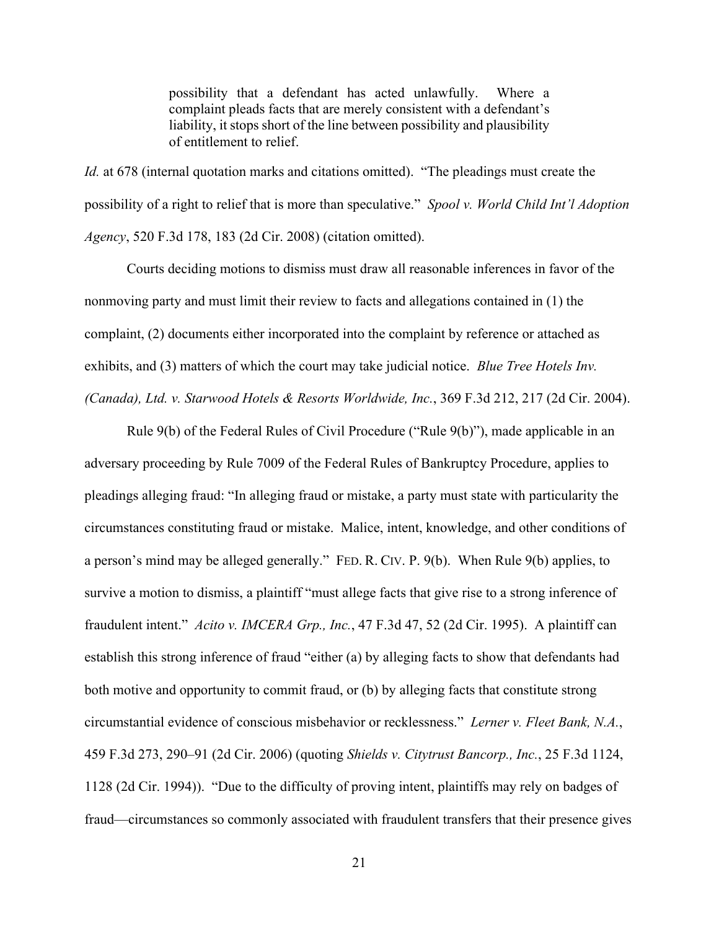possibility that a defendant has acted unlawfully. Where a complaint pleads facts that are merely consistent with a defendant's liability, it stops short of the line between possibility and plausibility of entitlement to relief.

*Id.* at 678 (internal quotation marks and citations omitted). "The pleadings must create the possibility of a right to relief that is more than speculative." *Spool v. World Child Int'l Adoption Agency*, 520 F.3d 178, 183 (2d Cir. 2008) (citation omitted).

Courts deciding motions to dismiss must draw all reasonable inferences in favor of the nonmoving party and must limit their review to facts and allegations contained in (1) the complaint, (2) documents either incorporated into the complaint by reference or attached as exhibits, and (3) matters of which the court may take judicial notice. *Blue Tree Hotels Inv. (Canada), Ltd. v. Starwood Hotels & Resorts Worldwide, Inc.*, 369 F.3d 212, 217 (2d Cir. 2004).

Rule 9(b) of the Federal Rules of Civil Procedure ("Rule 9(b)"), made applicable in an adversary proceeding by Rule 7009 of the Federal Rules of Bankruptcy Procedure, applies to pleadings alleging fraud: "In alleging fraud or mistake, a party must state with particularity the circumstances constituting fraud or mistake. Malice, intent, knowledge, and other conditions of a person's mind may be alleged generally." FED. R. CIV. P. 9(b). When Rule 9(b) applies, to survive a motion to dismiss, a plaintiff "must allege facts that give rise to a strong inference of fraudulent intent." *Acito v. IMCERA Grp., Inc.*, 47 F.3d 47, 52 (2d Cir. 1995). A plaintiff can establish this strong inference of fraud "either (a) by alleging facts to show that defendants had both motive and opportunity to commit fraud, or (b) by alleging facts that constitute strong circumstantial evidence of conscious misbehavior or recklessness." *Lerner v. Fleet Bank, N.A.*, 459 F.3d 273, 290–91 (2d Cir. 2006) (quoting *Shields v. Citytrust Bancorp., Inc.*, 25 F.3d 1124, 1128 (2d Cir. 1994)). "Due to the difficulty of proving intent, plaintiffs may rely on badges of fraud—circumstances so commonly associated with fraudulent transfers that their presence gives

21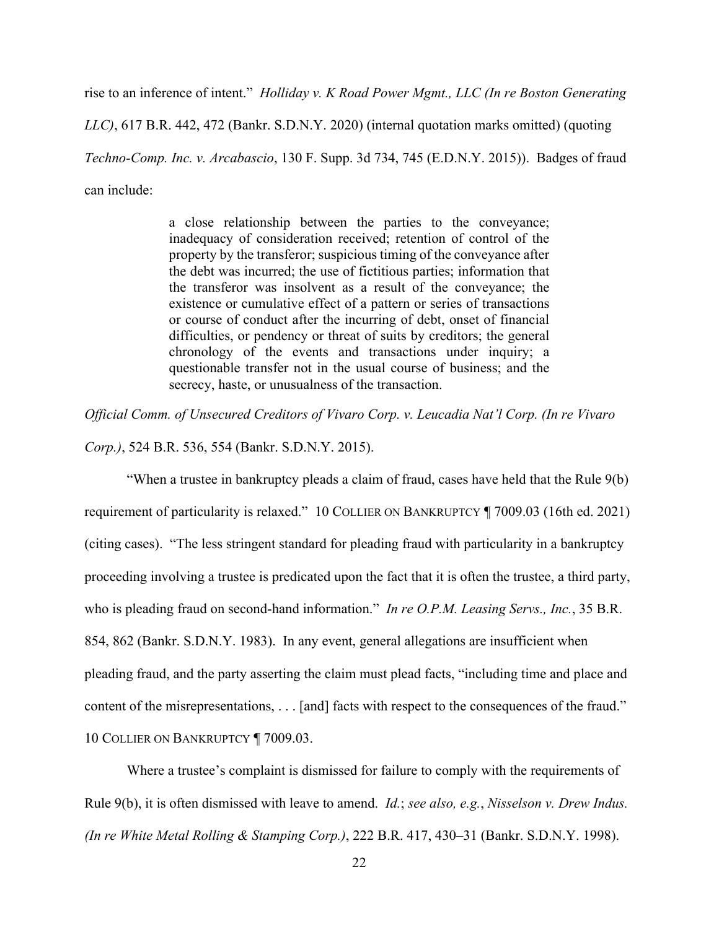rise to an inference of intent." *Holliday v. K Road Power Mgmt., LLC (In re Boston Generating* 

*LLC)*, 617 B.R. 442, 472 (Bankr. S.D.N.Y. 2020) (internal quotation marks omitted) (quoting *Techno-Comp. Inc. v. Arcabascio*, 130 F. Supp. 3d 734, 745 (E.D.N.Y. 2015)). Badges of fraud can include:

> a close relationship between the parties to the conveyance; inadequacy of consideration received; retention of control of the property by the transferor; suspicious timing of the conveyance after the debt was incurred; the use of fictitious parties; information that the transferor was insolvent as a result of the conveyance; the existence or cumulative effect of a pattern or series of transactions or course of conduct after the incurring of debt, onset of financial difficulties, or pendency or threat of suits by creditors; the general chronology of the events and transactions under inquiry; a questionable transfer not in the usual course of business; and the secrecy, haste, or unusualness of the transaction.

*Official Comm. of Unsecured Creditors of Vivaro Corp. v. Leucadia Nat'l Corp. (In re Vivaro* 

*Corp.)*, 524 B.R. 536, 554 (Bankr. S.D.N.Y. 2015).

"When a trustee in bankruptcy pleads a claim of fraud, cases have held that the Rule 9(b) requirement of particularity is relaxed." 10 COLLIER ON BANKRUPTCY ¶ 7009.03 (16th ed. 2021) (citing cases). "The less stringent standard for pleading fraud with particularity in a bankruptcy proceeding involving a trustee is predicated upon the fact that it is often the trustee, a third party, who is pleading fraud on second-hand information." *In re O.P.M. Leasing Servs., Inc.*, 35 B.R. 854, 862 (Bankr. S.D.N.Y. 1983). In any event, general allegations are insufficient when pleading fraud, and the party asserting the claim must plead facts, "including time and place and content of the misrepresentations, . . . [and] facts with respect to the consequences of the fraud." 10 COLLIER ON BANKRUPTCY ¶ 7009.03.

Where a trustee's complaint is dismissed for failure to comply with the requirements of Rule 9(b), it is often dismissed with leave to amend. *Id.*; *see also, e.g.*, *Nisselson v. Drew Indus. (In re White Metal Rolling & Stamping Corp.)*, 222 B.R. 417, 430–31 (Bankr. S.D.N.Y. 1998).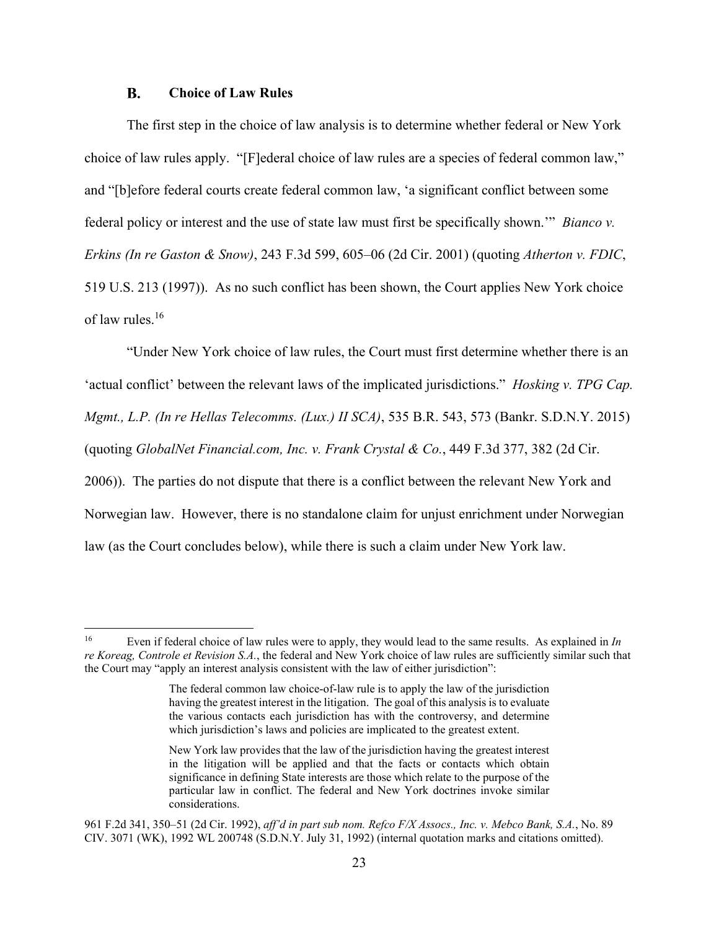#### $\mathbf{R}$ . **Choice of Law Rules**

The first step in the choice of law analysis is to determine whether federal or New York choice of law rules apply. "[F]ederal choice of law rules are a species of federal common law," and "[b]efore federal courts create federal common law, 'a significant conflict between some federal policy or interest and the use of state law must first be specifically shown.'" *Bianco v. Erkins (In re Gaston & Snow)*, 243 F.3d 599, 605–06 (2d Cir. 2001) (quoting *Atherton v. FDIC*, 519 U.S. 213 (1997)). As no such conflict has been shown, the Court applies New York choice of law rules.16

"Under New York choice of law rules, the Court must first determine whether there is an 'actual conflict' between the relevant laws of the implicated jurisdictions." *Hosking v. TPG Cap. Mgmt., L.P. (In re Hellas Telecomms. (Lux.) II SCA)*, 535 B.R. 543, 573 (Bankr. S.D.N.Y. 2015) (quoting *GlobalNet Financial.com, Inc. v. Frank Crystal & Co.*, 449 F.3d 377, 382 (2d Cir. 2006)). The parties do not dispute that there is a conflict between the relevant New York and Norwegian law. However, there is no standalone claim for unjust enrichment under Norwegian law (as the Court concludes below), while there is such a claim under New York law.

<sup>16</sup> Even if federal choice of law rules were to apply, they would lead to the same results. As explained in *In re Koreag, Controle et Revision S.A.*, the federal and New York choice of law rules are sufficiently similar such that the Court may "apply an interest analysis consistent with the law of either jurisdiction":

The federal common law choice-of-law rule is to apply the law of the jurisdiction having the greatest interest in the litigation. The goal of this analysis is to evaluate the various contacts each jurisdiction has with the controversy, and determine which jurisdiction's laws and policies are implicated to the greatest extent.

New York law provides that the law of the jurisdiction having the greatest interest in the litigation will be applied and that the facts or contacts which obtain significance in defining State interests are those which relate to the purpose of the particular law in conflict. The federal and New York doctrines invoke similar considerations.

<sup>961</sup> F.2d 341, 350–51 (2d Cir. 1992), *aff'd in part sub nom. Refco F/X Assocs., Inc. v. Mebco Bank, S.A.*, No. 89 CIV. 3071 (WK), 1992 WL 200748 (S.D.N.Y. July 31, 1992) (internal quotation marks and citations omitted).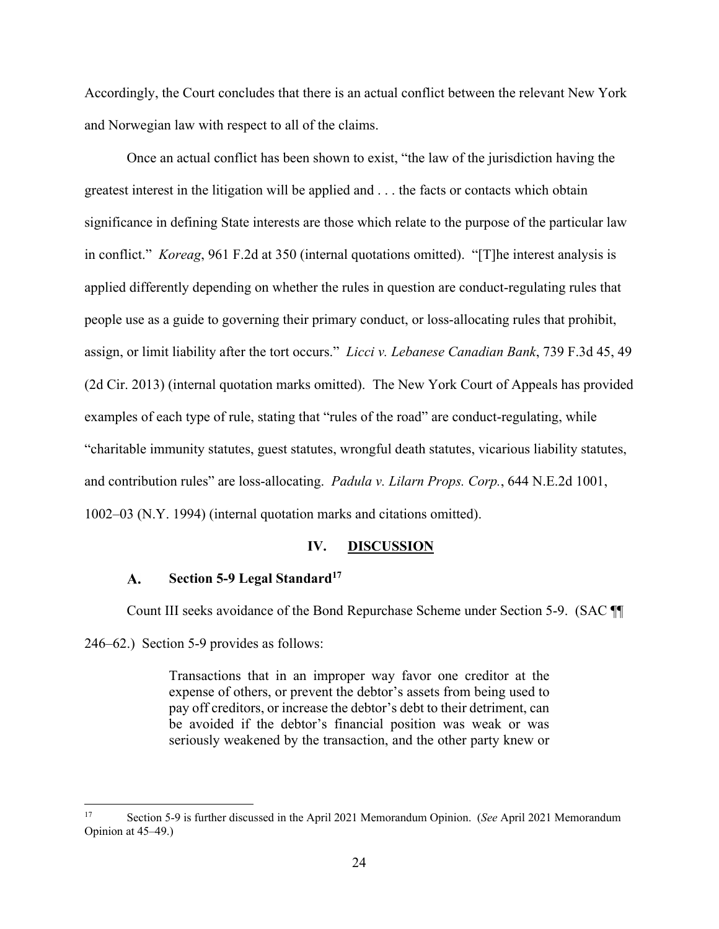Accordingly, the Court concludes that there is an actual conflict between the relevant New York and Norwegian law with respect to all of the claims.

Once an actual conflict has been shown to exist, "the law of the jurisdiction having the greatest interest in the litigation will be applied and . . . the facts or contacts which obtain significance in defining State interests are those which relate to the purpose of the particular law in conflict." *Koreag*, 961 F.2d at 350 (internal quotations omitted). "[T]he interest analysis is applied differently depending on whether the rules in question are conduct-regulating rules that people use as a guide to governing their primary conduct, or loss-allocating rules that prohibit, assign, or limit liability after the tort occurs." *Licci v. Lebanese Canadian Bank*, 739 F.3d 45, 49 (2d Cir. 2013) (internal quotation marks omitted). The New York Court of Appeals has provided examples of each type of rule, stating that "rules of the road" are conduct-regulating, while "charitable immunity statutes, guest statutes, wrongful death statutes, vicarious liability statutes, and contribution rules" are loss-allocating. *Padula v. Lilarn Props. Corp.*, 644 N.E.2d 1001, 1002–03 (N.Y. 1994) (internal quotation marks and citations omitted).

### **IV. DISCUSSION**

#### **Section 5-9 Legal Standard**<sup>17</sup>  $\mathbf{A}$ .

Count III seeks avoidance of the Bond Repurchase Scheme under Section 5-9. (SAC ¶¶ 246–62.) Section 5-9 provides as follows:

> Transactions that in an improper way favor one creditor at the expense of others, or prevent the debtor's assets from being used to pay off creditors, or increase the debtor's debt to their detriment, can be avoided if the debtor's financial position was weak or was seriously weakened by the transaction, and the other party knew or

<sup>17</sup> Section 5-9 is further discussed in the April 2021 Memorandum Opinion. (*See* April 2021 Memorandum Opinion at 45–49.)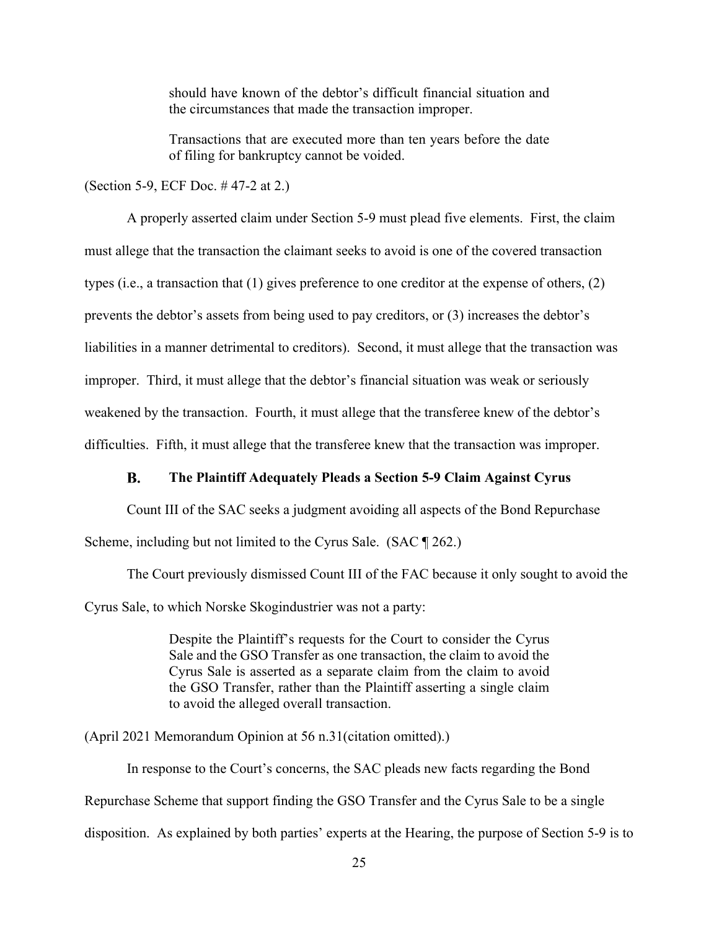should have known of the debtor's difficult financial situation and the circumstances that made the transaction improper.

Transactions that are executed more than ten years before the date of filing for bankruptcy cannot be voided.

(Section 5-9, ECF Doc. # 47-2 at 2.)

A properly asserted claim under Section 5-9 must plead five elements. First, the claim must allege that the transaction the claimant seeks to avoid is one of the covered transaction types (i.e., a transaction that (1) gives preference to one creditor at the expense of others, (2) prevents the debtor's assets from being used to pay creditors, or (3) increases the debtor's liabilities in a manner detrimental to creditors). Second, it must allege that the transaction was improper. Third, it must allege that the debtor's financial situation was weak or seriously weakened by the transaction. Fourth, it must allege that the transferee knew of the debtor's difficulties. Fifth, it must allege that the transferee knew that the transaction was improper.

#### **B. The Plaintiff Adequately Pleads a Section 5-9 Claim Against Cyrus**

Count III of the SAC seeks a judgment avoiding all aspects of the Bond Repurchase Scheme, including but not limited to the Cyrus Sale. (SAC [9262.)

The Court previously dismissed Count III of the FAC because it only sought to avoid the Cyrus Sale, to which Norske Skogindustrier was not a party:

> Despite the Plaintiff's requests for the Court to consider the Cyrus Sale and the GSO Transfer as one transaction, the claim to avoid the Cyrus Sale is asserted as a separate claim from the claim to avoid the GSO Transfer, rather than the Plaintiff asserting a single claim to avoid the alleged overall transaction.

(April 2021 Memorandum Opinion at 56 n.31(citation omitted).)

In response to the Court's concerns, the SAC pleads new facts regarding the Bond Repurchase Scheme that support finding the GSO Transfer and the Cyrus Sale to be a single disposition. As explained by both parties' experts at the Hearing, the purpose of Section 5-9 is to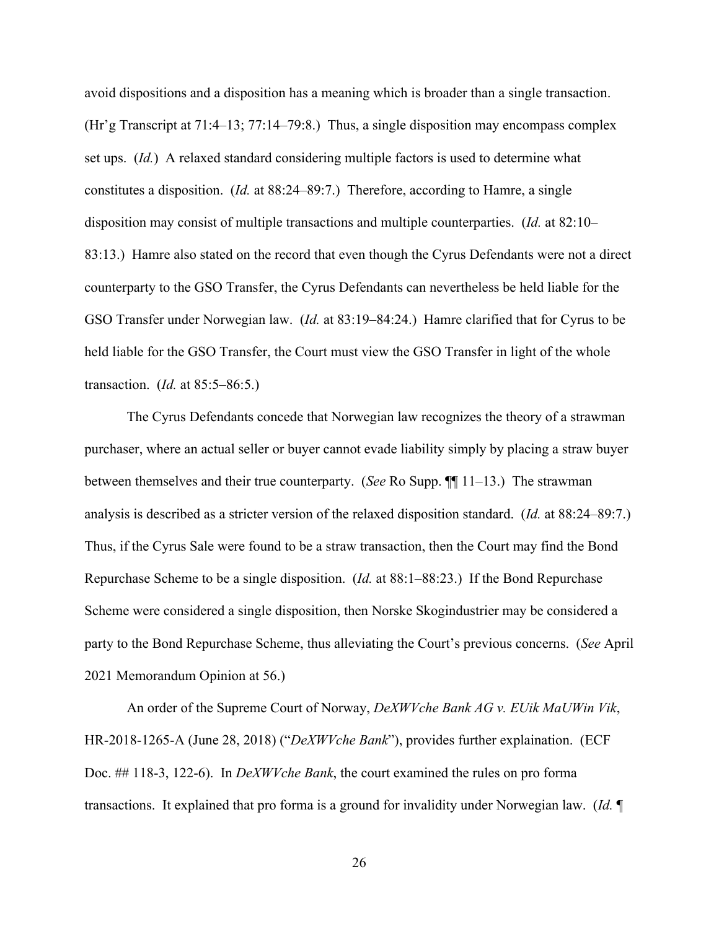avoid dispositions and a disposition has a meaning which is broader than a single transaction. (Hr'g Transcript at 71:4–13; 77:14–79:8.) Thus, a single disposition may encompass complex set ups. (*Id.*) A relaxed standard considering multiple factors is used to determine what constitutes a disposition. (*Id.* at 88:24–89:7.) Therefore, according to Hamre, a single disposition may consist of multiple transactions and multiple counterparties. (*Id.* at 82:10– 83:13.) Hamre also stated on the record that even though the Cyrus Defendants were not a direct counterparty to the GSO Transfer, the Cyrus Defendants can nevertheless be held liable for the GSO Transfer under Norwegian law. (*Id.* at 83:19–84:24.) Hamre clarified that for Cyrus to be held liable for the GSO Transfer, the Court must view the GSO Transfer in light of the whole transaction. (*Id.* at 85:5–86:5.)

The Cyrus Defendants concede that Norwegian law recognizes the theory of a strawman purchaser, where an actual seller or buyer cannot evade liability simply by placing a straw buyer between themselves and their true counterparty. (*See* Ro Supp. ¶¶ 11–13.) The strawman analysis is described as a stricter version of the relaxed disposition standard. (*Id.* at 88:24–89:7.) Thus, if the Cyrus Sale were found to be a straw transaction, then the Court may find the Bond Repurchase Scheme to be a single disposition. (*Id.* at 88:1–88:23.) If the Bond Repurchase Scheme were considered a single disposition, then Norske Skogindustrier may be considered a party to the Bond Repurchase Scheme, thus alleviating the Court's previous concerns. (*See* April 2021 Memorandum Opinion at 56.)

An order of the Supreme Court of Norway, *DeXWVche Bank AG v. EUik MaUWin Vik*, HR-2018-1265-A (June 28, 2018) ("*DeXWVche Bank*"), provides further explaination. (ECF Doc. ## 118-3, 122-6). In *DeXWVche Bank*, the court examined the rules on pro forma transactions. It explained that pro forma is a ground for invalidity under Norwegian law. (*Id.* ¶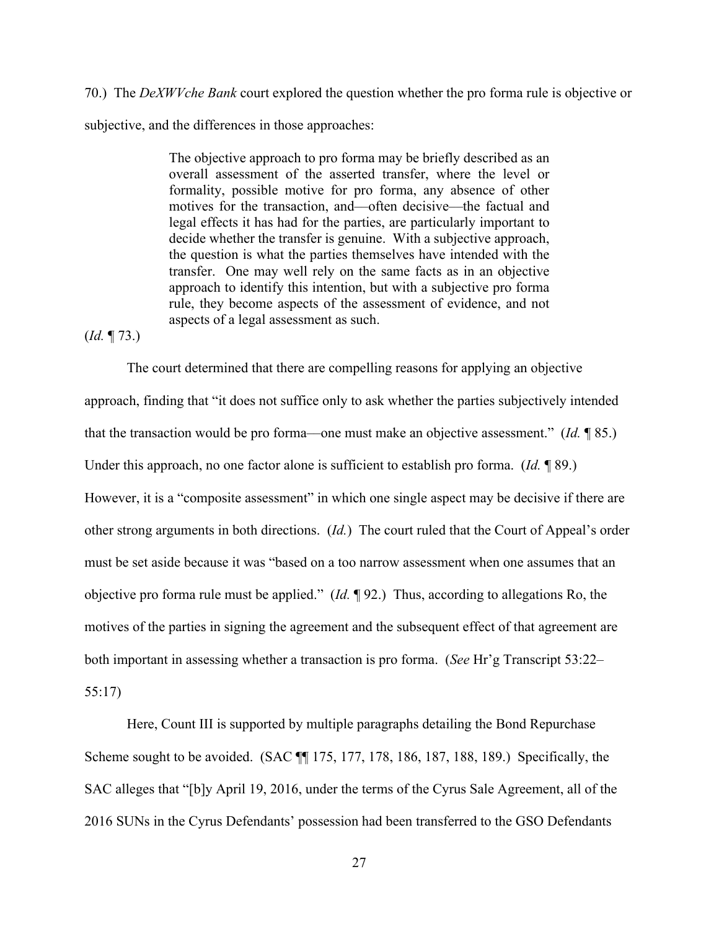70.) The *DeXWVche Bank* court explored the question whether the pro forma rule is objective or subjective, and the differences in those approaches:

> The objective approach to pro forma may be briefly described as an overall assessment of the asserted transfer, where the level or formality, possible motive for pro forma, any absence of other motives for the transaction, and––often decisive––the factual and legal effects it has had for the parties, are particularly important to decide whether the transfer is genuine. With a subjective approach, the question is what the parties themselves have intended with the transfer. One may well rely on the same facts as in an objective approach to identify this intention, but with a subjective pro forma rule, they become aspects of the assessment of evidence, and not aspects of a legal assessment as such.

(*Id.* ¶ 73.)

The court determined that there are compelling reasons for applying an objective approach, finding that "it does not suffice only to ask whether the parties subjectively intended that the transaction would be pro forma––one must make an objective assessment." (*Id.* ¶ 85.) Under this approach, no one factor alone is sufficient to establish pro forma. (*Id.* ¶ 89.) However, it is a "composite assessment" in which one single aspect may be decisive if there are other strong arguments in both directions. (*Id.*) The court ruled that the Court of Appeal's order must be set aside because it was "based on a too narrow assessment when one assumes that an objective pro forma rule must be applied." (*Id.* ¶ 92.) Thus, according to allegations Ro, the motives of the parties in signing the agreement and the subsequent effect of that agreement are both important in assessing whether a transaction is pro forma. (*See* Hr'g Transcript 53:22– 55:17)

Here, Count III is supported by multiple paragraphs detailing the Bond Repurchase Scheme sought to be avoided. (SAC ¶¶ 175, 177, 178, 186, 187, 188, 189.) Specifically, the SAC alleges that "[b]y April 19, 2016, under the terms of the Cyrus Sale Agreement, all of the 2016 SUNs in the Cyrus Defendants' possession had been transferred to the GSO Defendants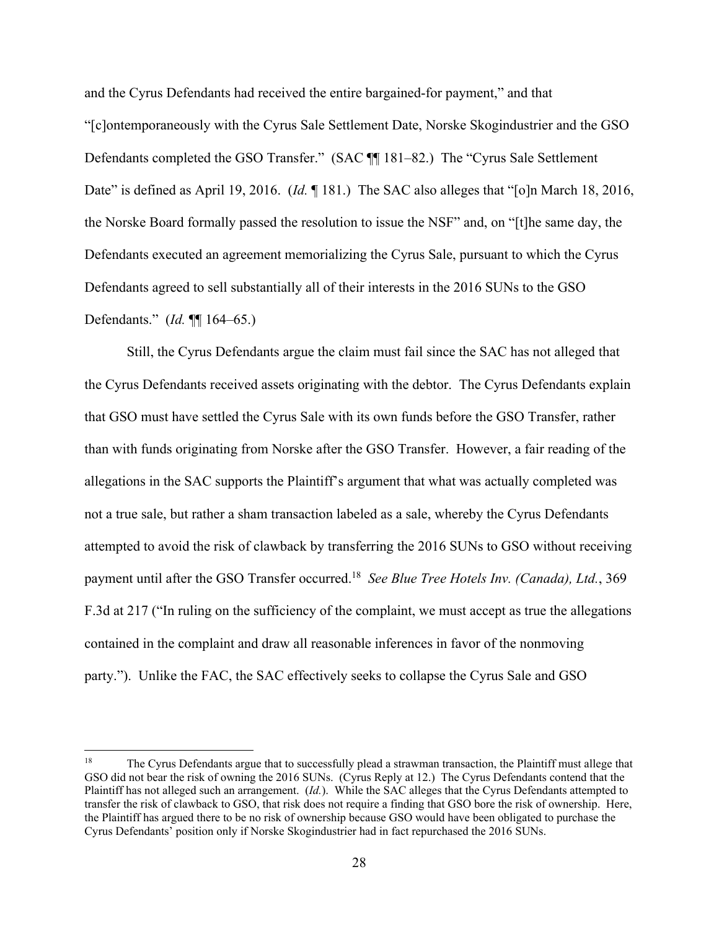and the Cyrus Defendants had received the entire bargained-for payment," and that "[c]ontemporaneously with the Cyrus Sale Settlement Date, Norske Skogindustrier and the GSO Defendants completed the GSO Transfer." (SAC ¶¶ 181–82.) The "Cyrus Sale Settlement Date" is defined as April 19, 2016. (*Id.* 181.) The SAC also alleges that "[o]n March 18, 2016, the Norske Board formally passed the resolution to issue the NSF" and, on "[t]he same day, the Defendants executed an agreement memorializing the Cyrus Sale, pursuant to which the Cyrus Defendants agreed to sell substantially all of their interests in the 2016 SUNs to the GSO Defendants." (*Id.* ¶¶ 164–65.)

Still, the Cyrus Defendants argue the claim must fail since the SAC has not alleged that the Cyrus Defendants received assets originating with the debtor. The Cyrus Defendants explain that GSO must have settled the Cyrus Sale with its own funds before the GSO Transfer, rather than with funds originating from Norske after the GSO Transfer. However, a fair reading of the allegations in the SAC supports the Plaintiff's argument that what was actually completed was not a true sale, but rather a sham transaction labeled as a sale, whereby the Cyrus Defendants attempted to avoid the risk of clawback by transferring the 2016 SUNs to GSO without receiving payment until after the GSO Transfer occurred.18 *See Blue Tree Hotels Inv. (Canada), Ltd.*, 369 F.3d at 217 ("In ruling on the sufficiency of the complaint, we must accept as true the allegations contained in the complaint and draw all reasonable inferences in favor of the nonmoving party."). Unlike the FAC, the SAC effectively seeks to collapse the Cyrus Sale and GSO

<sup>&</sup>lt;sup>18</sup> The Cyrus Defendants argue that to successfully plead a strawman transaction, the Plaintiff must allege that GSO did not bear the risk of owning the 2016 SUNs. (Cyrus Reply at 12.) The Cyrus Defendants contend that the Plaintiff has not alleged such an arrangement. (*Id.*). While the SAC alleges that the Cyrus Defendants attempted to transfer the risk of clawback to GSO, that risk does not require a finding that GSO bore the risk of ownership. Here, the Plaintiff has argued there to be no risk of ownership because GSO would have been obligated to purchase the Cyrus Defendants' position only if Norske Skogindustrier had in fact repurchased the 2016 SUNs.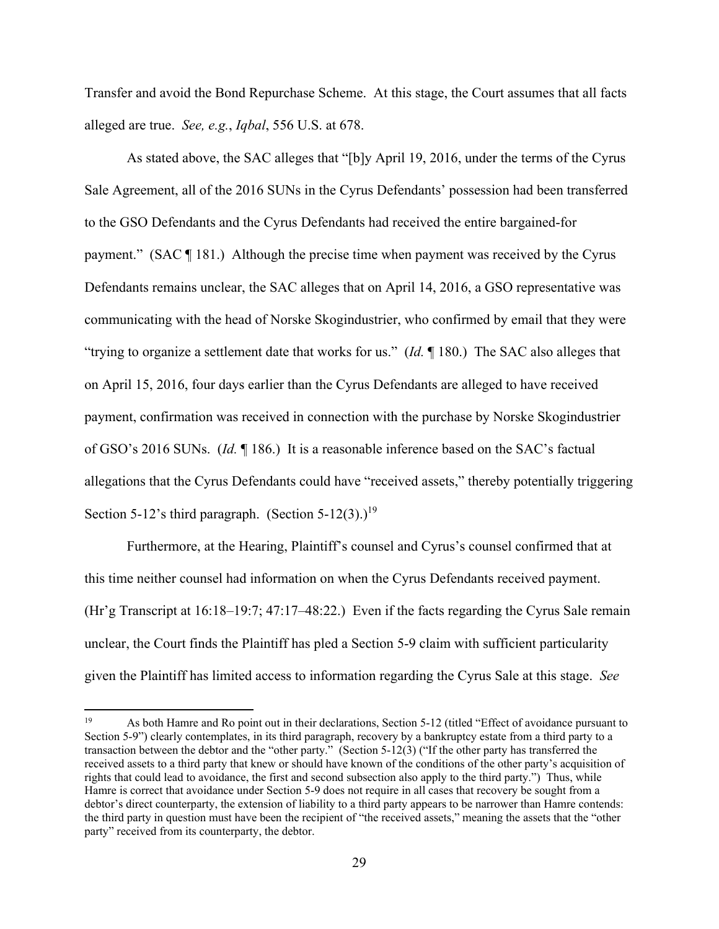Transfer and avoid the Bond Repurchase Scheme. At this stage, the Court assumes that all facts alleged are true. *See, e.g.*, *Iqbal*, 556 U.S. at 678.

As stated above, the SAC alleges that "[b]y April 19, 2016, under the terms of the Cyrus Sale Agreement, all of the 2016 SUNs in the Cyrus Defendants' possession had been transferred to the GSO Defendants and the Cyrus Defendants had received the entire bargained-for payment." (SAC ¶ 181.) Although the precise time when payment was received by the Cyrus Defendants remains unclear, the SAC alleges that on April 14, 2016, a GSO representative was communicating with the head of Norske Skogindustrier, who confirmed by email that they were "trying to organize a settlement date that works for us." (*Id.* ¶ 180.) The SAC also alleges that on April 15, 2016, four days earlier than the Cyrus Defendants are alleged to have received payment, confirmation was received in connection with the purchase by Norske Skogindustrier of GSO's 2016 SUNs. (*Id.* ¶ 186.) It is a reasonable inference based on the SAC's factual allegations that the Cyrus Defendants could have "received assets," thereby potentially triggering Section 5-12's third paragraph. (Section 5-12(3).)<sup>19</sup>

Furthermore, at the Hearing, Plaintiff's counsel and Cyrus's counsel confirmed that at this time neither counsel had information on when the Cyrus Defendants received payment. (Hr'g Transcript at 16:18–19:7; 47:17–48:22.) Even if the facts regarding the Cyrus Sale remain unclear, the Court finds the Plaintiff has pled a Section 5-9 claim with sufficient particularity given the Plaintiff has limited access to information regarding the Cyrus Sale at this stage. *See* 

<sup>19</sup> As both Hamre and Ro point out in their declarations, Section 5-12 (titled "Effect of avoidance pursuant to Section 5-9") clearly contemplates, in its third paragraph, recovery by a bankruptcy estate from a third party to a transaction between the debtor and the "other party." (Section 5-12(3) ("If the other party has transferred the received assets to a third party that knew or should have known of the conditions of the other party's acquisition of rights that could lead to avoidance, the first and second subsection also apply to the third party.") Thus, while Hamre is correct that avoidance under Section 5-9 does not require in all cases that recovery be sought from a debtor's direct counterparty, the extension of liability to a third party appears to be narrower than Hamre contends: the third party in question must have been the recipient of "the received assets," meaning the assets that the "other party" received from its counterparty, the debtor.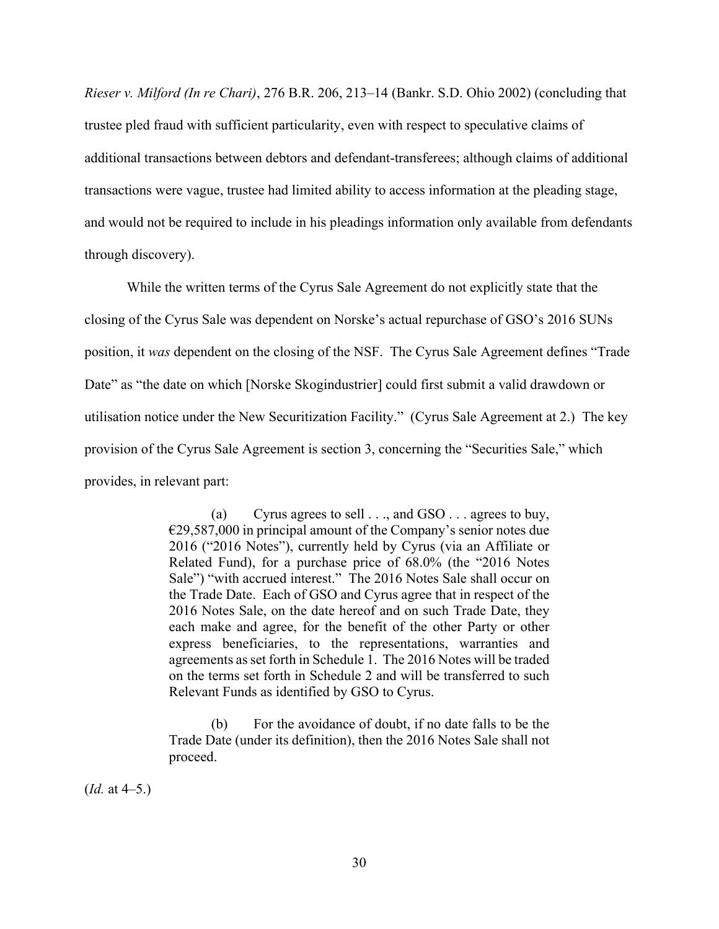*Rieser v. Milford (In re Chari)*, 276 B.R. 206, 213–14 (Bankr. S.D. Ohio 2002) (concluding that trustee pled fraud with sufficient particularity, even with respect to speculative claims of additional transactions between debtors and defendant-transferees; although claims of additional transactions were vague, trustee had limited ability to access information at the pleading stage, and would not be required to include in his pleadings information only available from defendants through discovery).

While the written terms of the Cyrus Sale Agreement do not explicitly state that the closing of the Cyrus Sale was dependent on Norske's actual repurchase of GSO's 2016 SUNs position, it *was* dependent on the closing of the NSF. The Cyrus Sale Agreement defines "Trade Date" as "the date on which [Norske Skogindustrier] could first submit a valid drawdown or utilisation notice under the New Securitization Facility." (Cyrus Sale Agreement at 2.) The key provision of the Cyrus Sale Agreement is section 3, concerning the "Securities Sale," which provides, in relevant part:

> (a) Cyrus agrees to sell . . ., and GSO . . . agrees to buy, €29,587,000 in principal amount of the Company's senior notes due 2016 ("2016 Notes"), currently held by Cyrus (via an Affiliate or Related Fund), for a purchase price of 68.0% (the "2016 Notes Sale") "with accrued interest." The 2016 Notes Sale shall occur on the Trade Date. Each of GSO and Cyrus agree that in respect of the 2016 Notes Sale, on the date hereof and on such Trade Date, they each make and agree, for the benefit of the other Party or other express beneficiaries, to the representations, warranties and agreements as set forth in Schedule 1. The 2016 Notes will be traded on the terms set forth in Schedule 2 and will be transferred to such Relevant Funds as identified by GSO to Cyrus.

> (b) For the avoidance of doubt, if no date falls to be the Trade Date (under its definition), then the 2016 Notes Sale shall not proceed.

(*Id.* at 4–5.)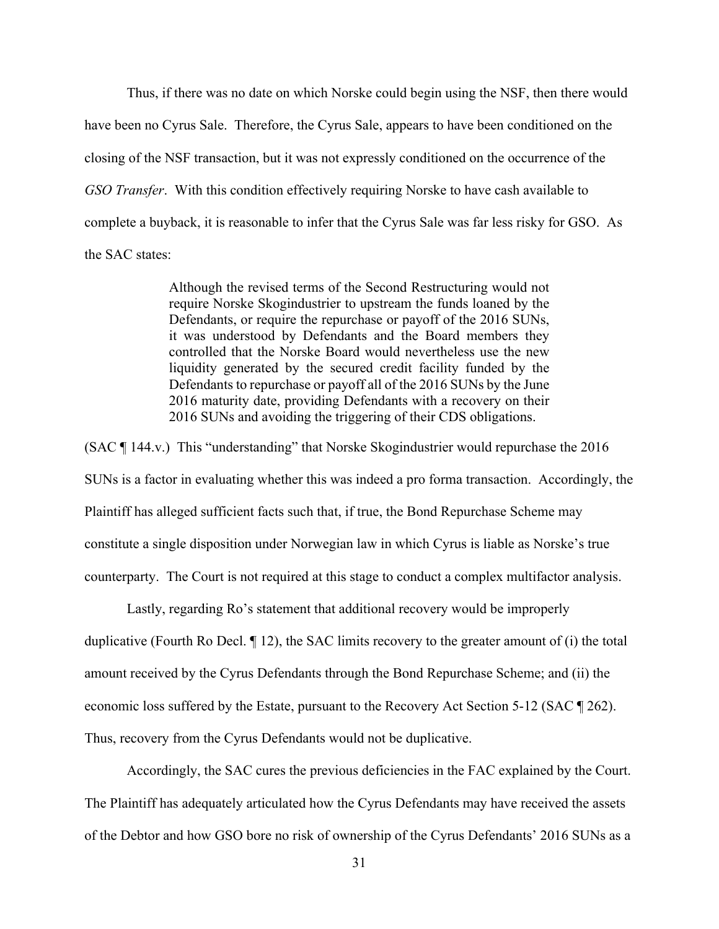Thus, if there was no date on which Norske could begin using the NSF, then there would have been no Cyrus Sale. Therefore, the Cyrus Sale, appears to have been conditioned on the closing of the NSF transaction, but it was not expressly conditioned on the occurrence of the *GSO Transfer*. With this condition effectively requiring Norske to have cash available to complete a buyback, it is reasonable to infer that the Cyrus Sale was far less risky for GSO. As the SAC states:

> Although the revised terms of the Second Restructuring would not require Norske Skogindustrier to upstream the funds loaned by the Defendants, or require the repurchase or payoff of the 2016 SUNs, it was understood by Defendants and the Board members they controlled that the Norske Board would nevertheless use the new liquidity generated by the secured credit facility funded by the Defendants to repurchase or payoff all of the 2016 SUNs by the June 2016 maturity date, providing Defendants with a recovery on their 2016 SUNs and avoiding the triggering of their CDS obligations.

(SAC ¶ 144.v.) This "understanding" that Norske Skogindustrier would repurchase the 2016 SUNs is a factor in evaluating whether this was indeed a pro forma transaction. Accordingly, the Plaintiff has alleged sufficient facts such that, if true, the Bond Repurchase Scheme may constitute a single disposition under Norwegian law in which Cyrus is liable as Norske's true counterparty. The Court is not required at this stage to conduct a complex multifactor analysis.

 Lastly, regarding Ro's statement that additional recovery would be improperly duplicative (Fourth Ro Decl. ¶ 12), the SAC limits recovery to the greater amount of (i) the total amount received by the Cyrus Defendants through the Bond Repurchase Scheme; and (ii) the economic loss suffered by the Estate, pursuant to the Recovery Act Section 5-12 (SAC ¶ 262). Thus, recovery from the Cyrus Defendants would not be duplicative.

Accordingly, the SAC cures the previous deficiencies in the FAC explained by the Court. The Plaintiff has adequately articulated how the Cyrus Defendants may have received the assets of the Debtor and how GSO bore no risk of ownership of the Cyrus Defendants' 2016 SUNs as a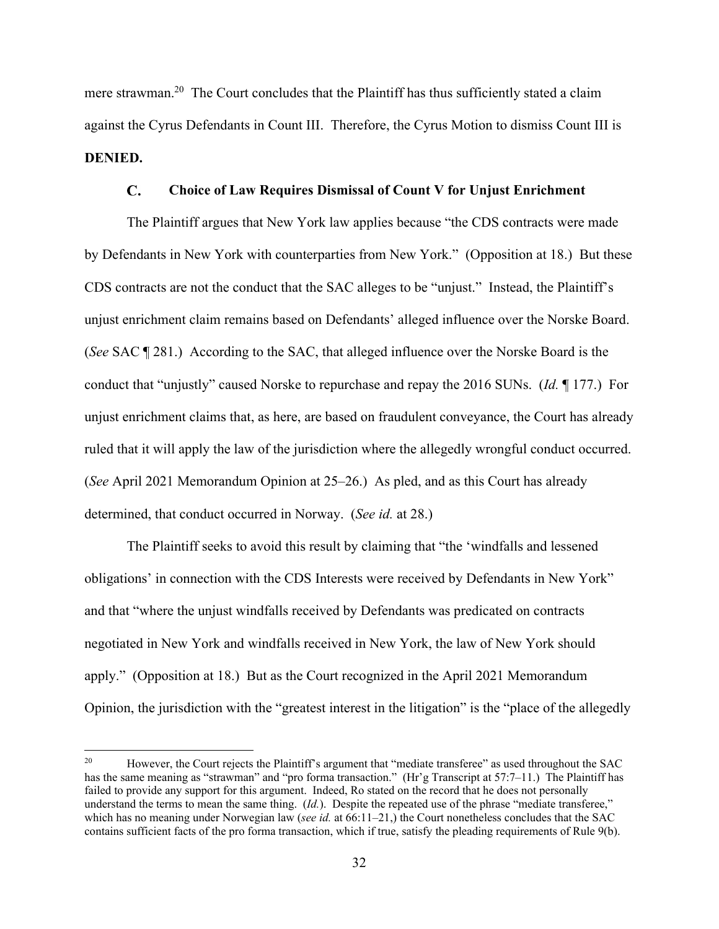mere strawman.<sup>20</sup> The Court concludes that the Plaintiff has thus sufficiently stated a claim against the Cyrus Defendants in Count III. Therefore, the Cyrus Motion to dismiss Count III is **DENIED.**

#### $\mathbf{C}$ . **Choice of Law Requires Dismissal of Count V for Unjust Enrichment**

The Plaintiff argues that New York law applies because "the CDS contracts were made by Defendants in New York with counterparties from New York." (Opposition at 18.) But these CDS contracts are not the conduct that the SAC alleges to be "unjust." Instead, the Plaintiff's unjust enrichment claim remains based on Defendants' alleged influence over the Norske Board. (*See* SAC ¶ 281.) According to the SAC, that alleged influence over the Norske Board is the conduct that "unjustly" caused Norske to repurchase and repay the 2016 SUNs. (*Id.* ¶ 177.) For unjust enrichment claims that, as here, are based on fraudulent conveyance, the Court has already ruled that it will apply the law of the jurisdiction where the allegedly wrongful conduct occurred. (*See* April 2021 Memorandum Opinion at 25–26.) As pled, and as this Court has already determined, that conduct occurred in Norway. (*See id.* at 28.)

The Plaintiff seeks to avoid this result by claiming that "the 'windfalls and lessened obligations' in connection with the CDS Interests were received by Defendants in New York" and that "where the unjust windfalls received by Defendants was predicated on contracts negotiated in New York and windfalls received in New York, the law of New York should apply." (Opposition at 18.) But as the Court recognized in the April 2021 Memorandum Opinion, the jurisdiction with the "greatest interest in the litigation" is the "place of the allegedly

<sup>&</sup>lt;sup>20</sup> However, the Court rejects the Plaintiff's argument that "mediate transferee" as used throughout the SAC has the same meaning as "strawman" and "pro forma transaction." (Hr'g Transcript at 57:7–11.) The Plaintiff has failed to provide any support for this argument. Indeed, Ro stated on the record that he does not personally understand the terms to mean the same thing. (*Id.*). Despite the repeated use of the phrase "mediate transferee," which has no meaning under Norwegian law (*see id.* at 66:11–21,) the Court nonetheless concludes that the SAC contains sufficient facts of the pro forma transaction, which if true, satisfy the pleading requirements of Rule 9(b).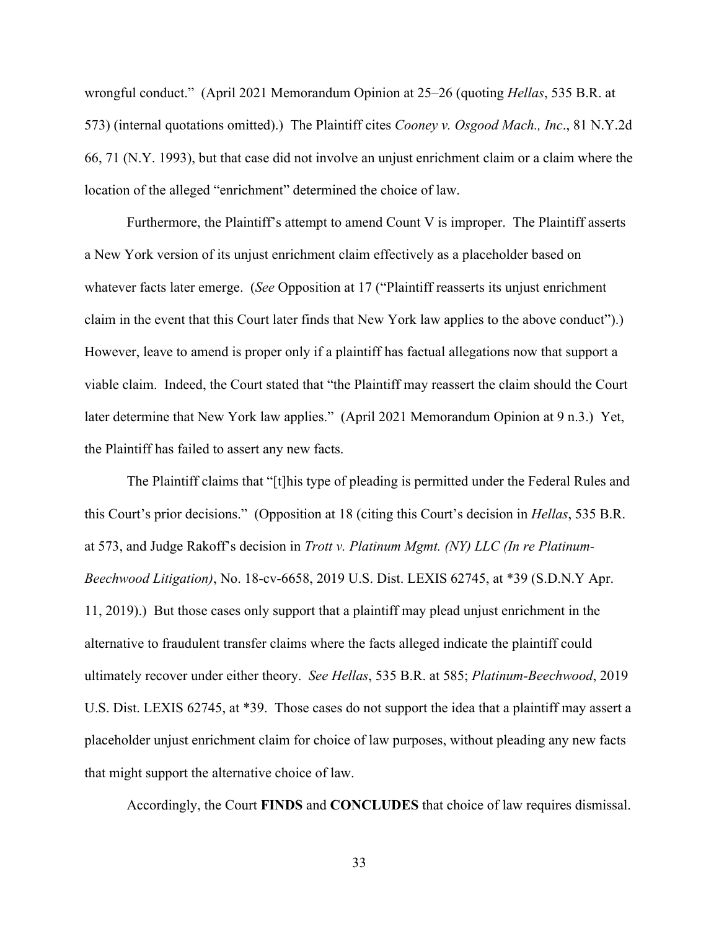wrongful conduct." (April 2021 Memorandum Opinion at 25–26 (quoting *Hellas*, 535 B.R. at 573) (internal quotations omitted).) The Plaintiff cites *Cooney v. Osgood Mach., Inc*., 81 N.Y.2d 66, 71 (N.Y. 1993), but that case did not involve an unjust enrichment claim or a claim where the location of the alleged "enrichment" determined the choice of law.

Furthermore, the Plaintiff's attempt to amend Count V is improper. The Plaintiff asserts a New York version of its unjust enrichment claim effectively as a placeholder based on whatever facts later emerge. (*See* Opposition at 17 ("Plaintiff reasserts its unjust enrichment claim in the event that this Court later finds that New York law applies to the above conduct").) However, leave to amend is proper only if a plaintiff has factual allegations now that support a viable claim. Indeed, the Court stated that "the Plaintiff may reassert the claim should the Court later determine that New York law applies." (April 2021 Memorandum Opinion at 9 n.3.) Yet, the Plaintiff has failed to assert any new facts.

The Plaintiff claims that "[t]his type of pleading is permitted under the Federal Rules and this Court's prior decisions." (Opposition at 18 (citing this Court's decision in *Hellas*, 535 B.R. at 573, and Judge Rakoff's decision in *Trott v. Platinum Mgmt. (NY) LLC (In re Platinum-Beechwood Litigation)*, No. 18-cv-6658, 2019 U.S. Dist. LEXIS 62745, at \*39 (S.D.N.Y Apr. 11, 2019).) But those cases only support that a plaintiff may plead unjust enrichment in the alternative to fraudulent transfer claims where the facts alleged indicate the plaintiff could ultimately recover under either theory. *See Hellas*, 535 B.R. at 585; *Platinum-Beechwood*, 2019 U.S. Dist. LEXIS 62745, at \*39. Those cases do not support the idea that a plaintiff may assert a placeholder unjust enrichment claim for choice of law purposes, without pleading any new facts that might support the alternative choice of law.

Accordingly, the Court **FINDS** and **CONCLUDES** that choice of law requires dismissal.

33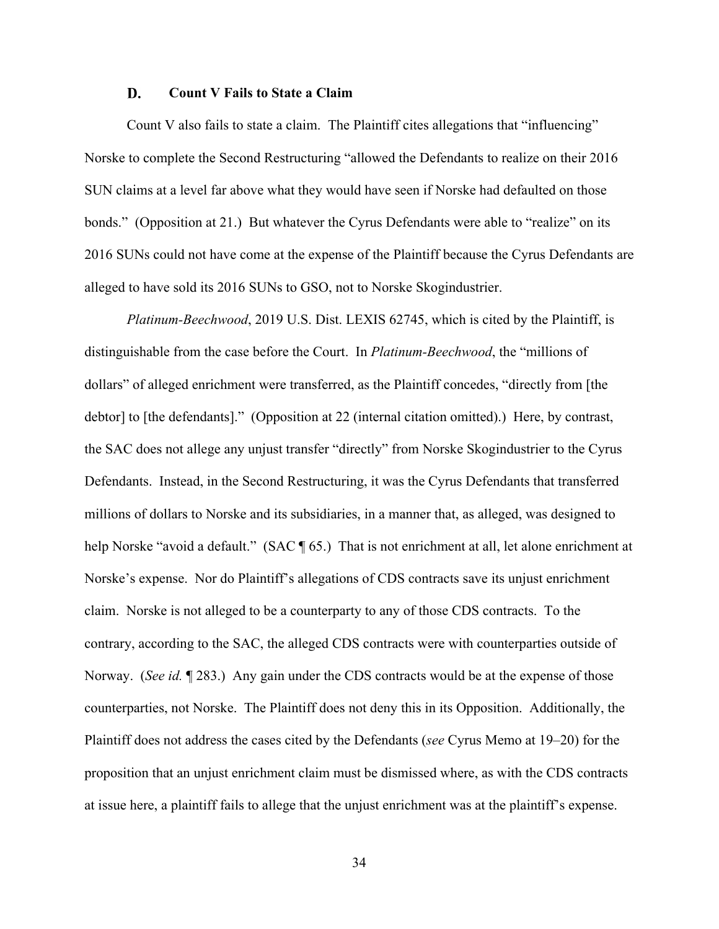#### D. **Count V Fails to State a Claim**

Count V also fails to state a claim. The Plaintiff cites allegations that "influencing" Norske to complete the Second Restructuring "allowed the Defendants to realize on their 2016 SUN claims at a level far above what they would have seen if Norske had defaulted on those bonds." (Opposition at 21.) But whatever the Cyrus Defendants were able to "realize" on its 2016 SUNs could not have come at the expense of the Plaintiff because the Cyrus Defendants are alleged to have sold its 2016 SUNs to GSO, not to Norske Skogindustrier.

*Platinum-Beechwood*, 2019 U.S. Dist. LEXIS 62745, which is cited by the Plaintiff, is distinguishable from the case before the Court. In *Platinum-Beechwood*, the "millions of dollars" of alleged enrichment were transferred, as the Plaintiff concedes, "directly from [the debtor] to [the defendants]." (Opposition at 22 (internal citation omitted).) Here, by contrast, the SAC does not allege any unjust transfer "directly" from Norske Skogindustrier to the Cyrus Defendants. Instead, in the Second Restructuring, it was the Cyrus Defendants that transferred millions of dollars to Norske and its subsidiaries, in a manner that, as alleged, was designed to help Norske "avoid a default." (SAC ¶ 65.) That is not enrichment at all, let alone enrichment at Norske's expense.Nor do Plaintiff's allegations of CDS contracts save its unjust enrichment claim. Norske is not alleged to be a counterparty to any of those CDS contracts. To the contrary, according to the SAC, the alleged CDS contracts were with counterparties outside of Norway. (*See id.* ¶ 283.)Any gain under the CDS contracts would be at the expense of those counterparties, not Norske.The Plaintiff does not deny this in its Opposition. Additionally, the Plaintiff does not address the cases cited by the Defendants (*see* Cyrus Memo at 19–20) for the proposition that an unjust enrichment claim must be dismissed where, as with the CDS contracts at issue here, a plaintiff fails to allege that the unjust enrichment was at the plaintiff's expense.

34